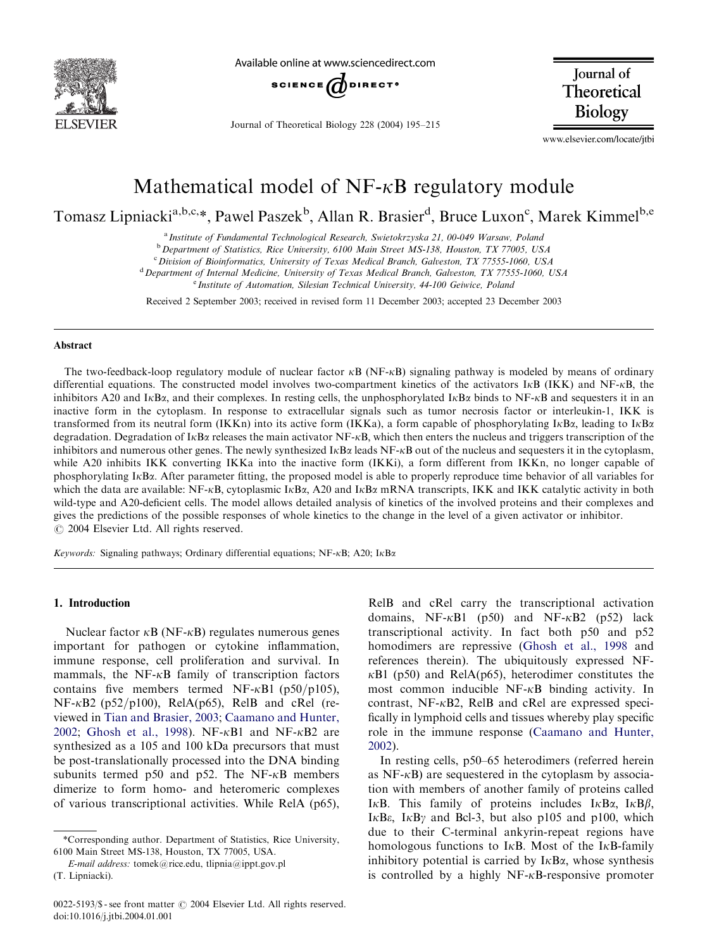

Available online at www.sciencedirect.com



Journal of Theoretical Biology 228 (2004) 195–215

**Journal** of Theoretical **Biology** 

www.elsevier.com/locate/jtbi

# Mathematical model of  $NF-\kappa B$  regulatory module

Tomasz Lipniacki<sup>a,b,c,</sup>\*, Pawel Paszek<sup>b</sup>, Allan R. Brasier<sup>d</sup>, Bruce Luxon<sup>c</sup>, Marek Kimmel<sup>b,e</sup>

<sup>a</sup> Institute of Fundamental Technological Research, Swietokrzyska 21, 00-049 Warsaw, Poland

<sup>b</sup> Department of Statistics, Rice University, 6100 Main Street MS-138, Houston, TX 77005, USA

<sup>c</sup> Division of Bioinformatics, University of Texas Medical Branch, Galveston, TX 77555-1060, USA

 $d$  Department of Internal Medicine, University of Texas Medical Branch, Galveston, TX 77555-1060, USA

<sup>e</sup> Institute of Automation, Silesian Technical University, 44-100 Geiwice, Poland

Received 2 September 2003; received in revised form 11 December 2003; accepted 23 December 2003

#### Abstract

The two-feedback-loop regulatory module of nuclear factor  $\kappa$ B (NF- $\kappa$ B) signaling pathway is modeled by means of ordinary differential equations. The constructed model involves two-compartment kinetics of the activators I $\kappa$ B (IKK) and NF- $\kappa$ B, the inhibitors A20 and I $\kappa$ Ba, and their complexes. In resting cells, the unphosphorylated I $\kappa$ Ba binds to NF- $\kappa$ B and sequesters it in an inactive form in the cytoplasm. In response to extracellular signals such as tumor necrosis factor or interleukin-1, IKK is transformed from its neutral form (IKKn) into its active form (IKKa), a form capable of phosphorylating  $I\kappa B\alpha$ , leading to  $I\kappa B\alpha$ degradation. Degradation of I<sub>K</sub>B<sub> $\alpha$ </sub> releases the main activator NF-<sub>K</sub>B, which then enters the nucleus and triggers transcription of the inhibitors and numerous other genes. The newly synthesized  $I\kappa B\alpha$  leads NF- $\kappa B$  out of the nucleus and sequesters it in the cytoplasm, while A20 inhibits IKK converting IKKa into the inactive form (IKKi), a form different from IKKn, no longer capable of phosphorylating IkBa: After parameter fitting, the proposed model is able to properly reproduce time behavior of all variables for which the data are available: NF- $\kappa$ B, cytoplasmic I $\kappa$ B $\alpha$ , A20 and I $\kappa$ B $\alpha$  mRNA transcripts, IKK and IKK catalytic activity in both wild-type and A20-deficient cells. The model allows detailed analysis of kinetics of the involved proteins and their complexes and gives the predictions of the possible responses of whole kinetics to the change in the level of a given activator or inhibitor.  $\odot$  2004 Elsevier Ltd. All rights reserved.

Keywords: Signaling pathways; Ordinary differential equations; NF- $\kappa$ B; A20; I $\kappa$ B $\alpha$ 

## 1. Introduction

Nuclear factor  $\kappa$ B (NF- $\kappa$ B) regulates numerous genes important for pathogen or cytokine inflammation, immune response, cell proliferation and survival. In mammals, the  $NF-\kappa B$  family of transcription factors contains five members termed NF- $\kappa$ B1 (p50/p105),  $NF-\kappa B2$  (p52/p100), RelA(p65), RelB and cRel (reviewed in [Tian and Brasier, 2003](#page-19-0); [Caamano and Hunter,](#page-19-0) [2002;](#page-19-0) [Ghosh et al., 1998](#page-19-0)). NF- $\kappa$ B1 and NF- $\kappa$ B2 are synthesized as a 105 and 100 kDa precursors that must be post-translationally processed into the DNA binding subunits termed p50 and p52. The  $NF-\kappa B$  members dimerize to form homo- and heteromeric complexes of various transcriptional activities. While RelA (p65),

RelB and cRel carry the transcriptional activation domains,  $NF-\kappa B1$  (p50) and  $NF-\kappa B2$  (p52) lack transcriptional activity. In fact both p50 and p52 homodimers are repressive [\(Ghosh et al., 1998](#page-19-0) and references therein). The ubiquitously expressed NF- $\kappa$ B1 (p50) and RelA(p65), heterodimer constitutes the most common inducible NF-kB binding activity. In contrast,  $NF-\kappa B2$ , RelB and cRel are expressed specifically in lymphoid cells and tissues whereby play specific role in the immune response ([Caamano and Hunter,](#page-19-0) [2002\)](#page-19-0).

In resting cells, p50–65 heterodimers (referred herein as  $NF - \kappa B$  are sequestered in the cytoplasm by association with members of another family of proteins called IKB. This family of proteins includes  $I \kappa B\alpha$ ,  $I \kappa B\beta$ , I $\kappa$ B $\epsilon$ , I $\kappa$ B $\gamma$  and Bcl-3, but also p105 and p100, which due to their C-terminal ankyrin-repeat regions have homologous functions to I $\kappa$ B. Most of the I $\kappa$ B-family inhibitory potential is carried by  $I \kappa B \alpha$ , whose synthesis is controlled by a highly  $NF-\kappa B$ -responsive promoter

<sup>\*</sup>Corresponding author. Department of Statistics, Rice University, 6100 Main Street MS-138, Houston, TX 77005, USA.

E-mail address: tomek@rice.edu, tlipnia@ippt.gov.pl (T. Lipniacki).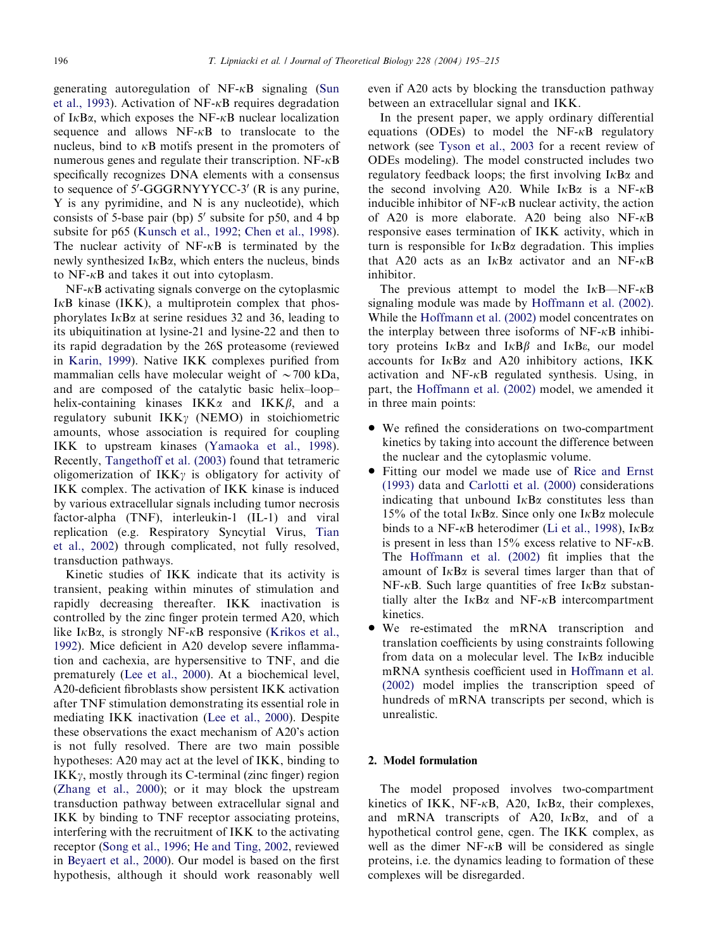generating autoregulation of  $NF-\kappa B$  signaling [\(Sun](#page-19-0) [et al., 1993](#page-19-0)). Activation of NF- $\kappa$ B requires degradation of  $I \kappa B\alpha$ , which exposes the NF- $\kappa B$  nuclear localization sequence and allows  $NF-\kappa B$  to translocate to the nucleus, bind to  $\kappa$ B motifs present in the promoters of numerous genes and regulate their transcription.  $NF-\kappa B$ specifically recognizes DNA elements with a consensus to sequence of  $5'$ -GGGRNYYYCC-3' (R is any purine, Y is any pyrimidine, and N is any nucleotide), which consists of 5-base pair (bp)  $5'$  subsite for p50, and 4 bp subsite for p65 [\(Kunsch et al., 1992;](#page-19-0) [Chen et al., 1998\)](#page-19-0). The nuclear activity of  $NF-\kappa B$  is terminated by the newly synthesized  $I \kappa B\alpha$ , which enters the nucleus, binds to  $NF-\kappa B$  and takes it out into cytoplasm.

 $NF-\kappa B$  activating signals converge on the cytoplasmic  $I<sub>K</sub>B$  kinase (IKK), a multiprotein complex that phosphorylates I $\kappa$ B $\alpha$  at serine residues 32 and 36, leading to its ubiquitination at lysine-21 and lysine-22 and then to its rapid degradation by the 26S proteasome (reviewed in [Karin, 1999\)](#page-19-0). Native IKK complexes purified from mammalian cells have molecular weight of  $\sim$  700 kDa, and are composed of the catalytic basic helix–loop– helix-containing kinases  $IKK\alpha$  and  $IKK\beta$ , and a regulatory subunit  $IKK\gamma$  (NEMO) in stoichiometric amounts, whose association is required for coupling IKK to upstream kinases ([Yamaoka et al., 1998\)](#page-19-0). Recently, [Tangethoff et al. \(2003\)](#page-19-0) found that tetrameric oligomerization of  $IKK\gamma$  is obligatory for activity of IKK complex. The activation of IKK kinase is induced by various extracellular signals including tumor necrosis factor-alpha (TNF), interleukin-1 (IL-1) and viral replication (e.g. Respiratory Syncytial Virus, [Tian](#page-19-0) [et al., 2002\)](#page-19-0) through complicated, not fully resolved, transduction pathways.

Kinetic studies of IKK indicate that its activity is transient, peaking within minutes of stimulation and rapidly decreasing thereafter. IKK inactivation is controlled by the zinc finger protein termed A20, which like I $\kappa$ B $\alpha$ , is strongly NF- $\kappa$ B responsive ([Krikos et al.,](#page-19-0) [1992\)](#page-19-0). Mice deficient in A20 develop severe inflammation and cachexia, are hypersensitive to TNF, and die prematurely ([Lee et al., 2000\)](#page-19-0). At a biochemical level, A20-deficient fibroblasts show persistent IKK activation after TNF stimulation demonstrating its essential role in mediating IKK inactivation [\(Lee et al., 2000\)](#page-19-0). Despite these observations the exact mechanism of A20's action is not fully resolved. There are two main possible hypotheses: A20 may act at the level of IKK, binding to  $IKK\gamma$ , mostly through its C-terminal (zinc finger) region [\(Zhang et al., 2000\)](#page-20-0); or it may block the upstream transduction pathway between extracellular signal and IKK by binding to TNF receptor associating proteins, interfering with the recruitment of IKK to the activating receptor [\(Song et al., 1996](#page-19-0); [He and Ting, 2002](#page-19-0), reviewed in [Beyaert et al., 2000\)](#page-19-0). Our model is based on the first hypothesis, although it should work reasonably well even if A20 acts by blocking the transduction pathway between an extracellular signal and IKK.

In the present paper, we apply ordinary differential equations (ODEs) to model the  $NF-\kappa B$  regulatory network (see [Tyson et al., 2003](#page-19-0) for a recent review of ODEs modeling). The model constructed includes two regulatory feedback loops; the first involving  $I \kappa B \alpha$  and the second involving A20. While  $I \kappa B\alpha$  is a NF- $\kappa B$ inducible inhibitor of  $NF-\kappa B$  nuclear activity, the action of A20 is more elaborate. A20 being also  $NF-\kappa B$ responsive eases termination of IKK activity, which in turn is responsible for  $I \kappa B\alpha$  degradation. This implies that A20 acts as an I $\kappa$ B $\alpha$  activator and an NF- $\kappa$ B inhibitor.

The previous attempt to model the  $I\kappa B\text{---}NF\text{-}\kappa B$ signaling module was made by [Hoffmann et al. \(2002\)](#page-19-0). While the [Hoffmann et al. \(2002\)](#page-19-0) model concentrates on the interplay between three isoforms of  $NF-\kappa B$  inhibitory proteins  $I \kappa B\alpha$  and  $I \kappa B\beta$  and  $I \kappa B\epsilon$ , our model accounts for  $I \kappa B\alpha$  and A20 inhibitory actions, IKK activation and NF-kB regulated synthesis. Using, in part, the [Hoffmann et al. \(2002\)](#page-19-0) model, we amended it in three main points:

- We refined the considerations on two-compartment kinetics by taking into account the difference between the nuclear and the cytoplasmic volume.
- Fitting our model we made use of [Rice and Ernst](#page-19-0) [\(1993\)](#page-19-0) data and [Carlotti et al. \(2000\)](#page-19-0) considerations indicating that unbound  $I \kappa B\alpha$  constitutes less than 15% of the total I $\kappa$ B $\alpha$ . Since only one I $\kappa$ B $\alpha$  molecule binds to a NF- $\kappa$ B heterodimer [\(Li et al., 1998\)](#page-19-0), I $\kappa$ B $\alpha$ is present in less than 15% excess relative to NF- $\kappa$ B. The [Hoffmann et al. \(2002\)](#page-19-0) fit implies that the amount of  $I \kappa B\alpha$  is several times larger than that of  $NF-\kappa B$ . Such large quantities of free  $I\kappa B\alpha$  substantially alter the  $I \kappa B \alpha$  and NF- $\kappa B$  intercompartment kinetics.
- We re-estimated the mRNA transcription and translation coefficients by using constraints following from data on a molecular level. The  $I \kappa B\alpha$  inducible mRNA synthesis coefficient used in [Hoffmann et al.](#page-19-0) [\(2002\)](#page-19-0) model implies the transcription speed of hundreds of mRNA transcripts per second, which is unrealistic.

# 2. Model formulation

The model proposed involves two-compartment kinetics of IKK, NF- $\kappa$ B, A20, I $\kappa$ B $\alpha$ , their complexes, and mRNA transcripts of A20,  $I \kappa B \alpha$ , and of a hypothetical control gene, cgen. The IKK complex, as well as the dimer  $NF-\kappa B$  will be considered as single proteins, i.e. the dynamics leading to formation of these complexes will be disregarded.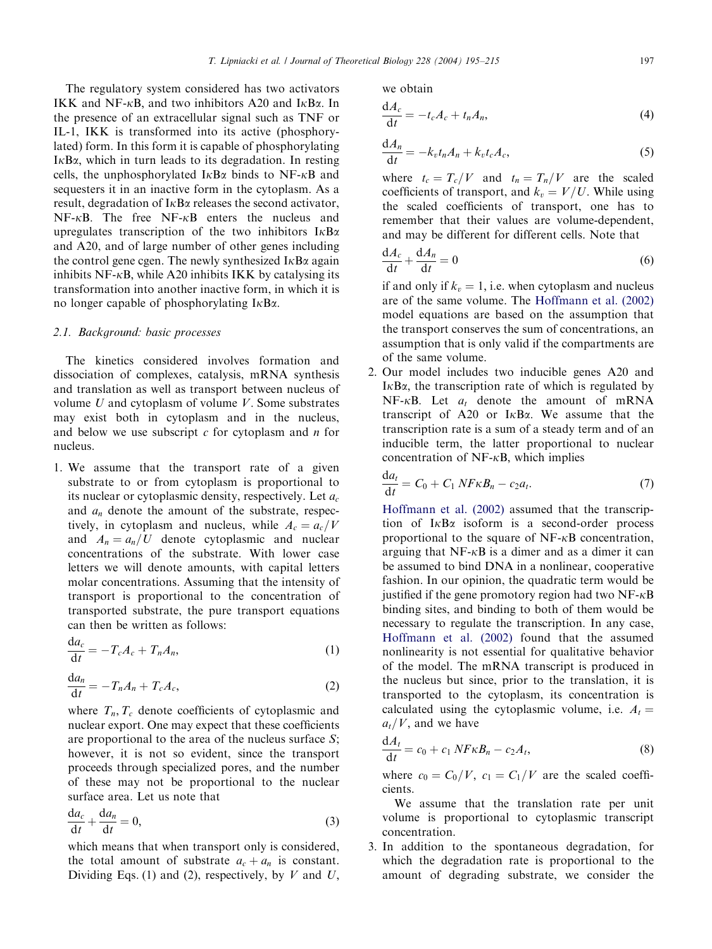The regulatory system considered has two activators IKK and NF- $\kappa$ B, and two inhibitors A20 and I $\kappa$ B $\alpha$ . In the presence of an extracellular signal such as TNF or IL-1, IKK is transformed into its active (phosphorylated) form. In this form it is capable of phosphorylating  $I<sub>K</sub>B<sub>\alpha</sub>$ , which in turn leads to its degradation. In resting cells, the unphosphorylated  $I \kappa B\alpha$  binds to NF- $\kappa B$  and sequesters it in an inactive form in the cytoplasm. As a result, degradation of  $I \kappa B \alpha$  releases the second activator,  $NF-\kappa B$ . The free  $NF-\kappa B$  enters the nucleus and upregulates transcription of the two inhibitors  $I \kappa B \alpha$ and A20, and of large number of other genes including the control gene cgen. The newly synthesized  $I \kappa B \alpha$  again inhibits NF- $\kappa$ B, while A20 inhibits IKK by catalysing its transformation into another inactive form, in which it is no longer capable of phosphorylating  $I \kappa B \alpha$ .

# 2.1. Background: basic processes

The kinetics considered involves formation and dissociation of complexes, catalysis, mRNA synthesis and translation as well as transport between nucleus of volume  $U$  and cytoplasm of volume  $V$ . Some substrates may exist both in cytoplasm and in the nucleus, and below we use subscript  $c$  for cytoplasm and  $n$  for nucleus.

1. We assume that the transport rate of a given substrate to or from cytoplasm is proportional to its nuclear or cytoplasmic density, respectively. Let  $a_c$ and  $a_n$  denote the amount of the substrate, respectively, in cytoplasm and nucleus, while  $A_c = a_c/V$ and  $A_n = a_n/U$  denote cytoplasmic and nuclear concentrations of the substrate. With lower case letters we will denote amounts, with capital letters molar concentrations. Assuming that the intensity of transport is proportional to the concentration of transported substrate, the pure transport equations can then be written as follows:

$$
\frac{\mathrm{d}a_c}{\mathrm{d}t} = -T_c A_c + T_n A_n,\tag{1}
$$

$$
\frac{\mathrm{d}a_n}{\mathrm{d}t} = -T_n A_n + T_c A_c,\tag{2}
$$

where  $T_n$ ,  $T_c$  denote coefficients of cytoplasmic and nuclear export. One may expect that these coefficients are proportional to the area of the nucleus surface S; however, it is not so evident, since the transport proceeds through specialized pores, and the number of these may not be proportional to the nuclear surface area. Let us note that

$$
\frac{da_c}{dt} + \frac{da_n}{dt} = 0,\t\t(3)
$$

which means that when transport only is considered, the total amount of substrate  $a_c + a_n$  is constant. Dividing Eqs. (1) and (2), respectively, by  $V$  and  $U$ , we obtain

$$
\frac{\mathrm{d}A_c}{\mathrm{d}t} = -t_c A_c + t_n A_n,\tag{4}
$$

$$
\frac{\mathrm{d}A_n}{\mathrm{d}t} = -k_v t_n A_n + k_v t_c A_c,\tag{5}
$$

where  $t_c = T_c/V$  and  $t_n = T_n/V$  are the scaled coefficients of transport, and  $k_v = V/U$ . While using the scaled coefficients of transport, one has to remember that their values are volume-dependent, and may be different for different cells. Note that

$$
\frac{\mathrm{d}A_c}{\mathrm{d}t} + \frac{\mathrm{d}A_n}{\mathrm{d}t} = 0\tag{6}
$$

if and only if  $k_v = 1$ , i.e. when cytoplasm and nucleus are of the same volume. The [Hoffmann et al. \(2002\)](#page-19-0) model equations are based on the assumption that the transport conserves the sum of concentrations, an assumption that is only valid if the compartments are of the same volume.

2. Our model includes two inducible genes A20 and  $I \kappa B \alpha$ , the transcription rate of which is regulated by NF- $\kappa$ B. Let  $a_t$  denote the amount of mRNA transcript of A20 or  $I \kappa B \alpha$ . We assume that the transcription rate is a sum of a steady term and of an inducible term, the latter proportional to nuclear concentration of  $NF- $\kappa$ B$ , which implies

$$
\frac{\mathrm{d}a_t}{\mathrm{d}t} = C_0 + C_1 N F \kappa B_n - c_2 a_t. \tag{7}
$$

[Hoffmann et al. \(2002\)](#page-19-0) assumed that the transcription of  $I \kappa B\alpha$  isoform is a second-order process proportional to the square of  $NF-\kappa B$  concentration, arguing that  $NF-\kappa B$  is a dimer and as a dimer it can be assumed to bind DNA in a nonlinear, cooperative fashion. In our opinion, the quadratic term would be justified if the gene promotory region had two  $NF-\kappa B$ binding sites, and binding to both of them would be necessary to regulate the transcription. In any case, [Hoffmann et al. \(2002\)](#page-19-0) found that the assumed nonlinearity is not essential for qualitative behavior of the model. The mRNA transcript is produced in the nucleus but since, prior to the translation, it is transported to the cytoplasm, its concentration is calculated using the cytoplasmic volume, i.e.  $A_t =$  $a_t/V$ , and we have

$$
\frac{\mathrm{d}A_t}{\mathrm{d}t} = c_0 + c_1 \, NF \kappa B_n - c_2 A_t,\tag{8}
$$

where  $c_0 = C_0/V$ ,  $c_1 = C_1/V$  are the scaled coefficients.

We assume that the translation rate per unit volume is proportional to cytoplasmic transcript concentration.

3. In addition to the spontaneous degradation, for which the degradation rate is proportional to the amount of degrading substrate, we consider the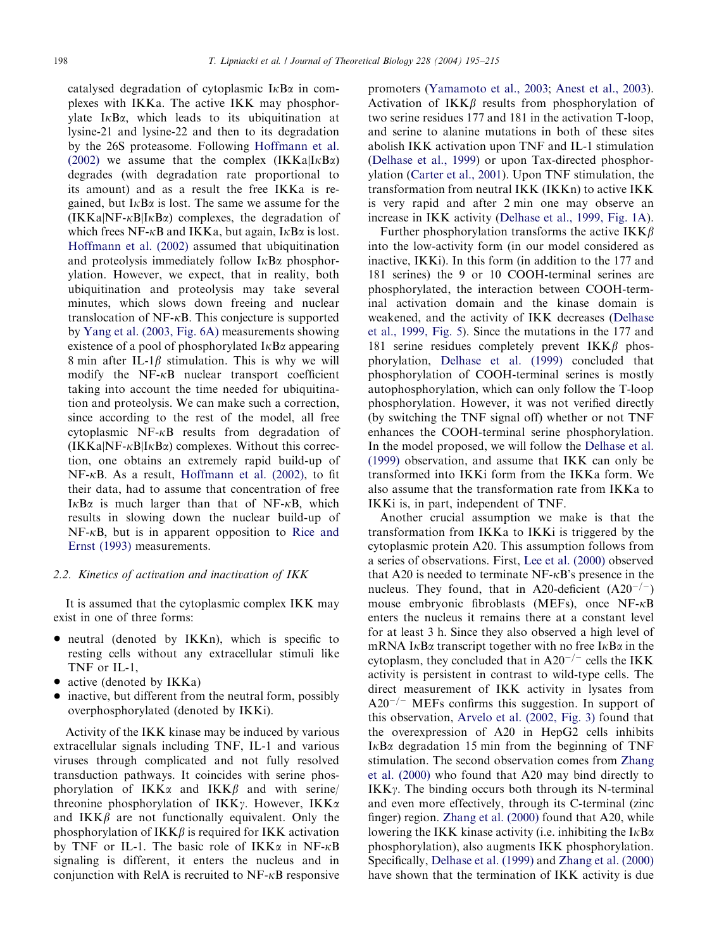catalysed degradation of cytoplasmic  $I \kappa B \alpha$  in complexes with IKKa. The active IKK may phosphorylate  $I \kappa B\alpha$ , which leads to its ubiquitination at lysine-21 and lysine-22 and then to its degradation by the 26S proteasome. Following [Hoffmann et al.](#page-19-0) [\(2002\)](#page-19-0) we assume that the complex  $(IKKa|IkBa)$ degrades (with degradation rate proportional to its amount) and as a result the free IKKa is regained, but  $I \kappa B \alpha$  is lost. The same we assume for the  $(IKKa/NF-\kappa BlI\kappa B\alpha)$  complexes, the degradation of which frees NF- $\kappa$ B and IKKa, but again, I $\kappa$ B $\alpha$  is lost. [Hoffmann et al. \(2002\)](#page-19-0) assumed that ubiquitination and proteolysis immediately follow  $I \kappa B \alpha$  phosphorylation. However, we expect, that in reality, both ubiquitination and proteolysis may take several minutes, which slows down freeing and nuclear translocation of  $NF-\kappa B$ . This conjecture is supported by [Yang et al. \(2003, Fig. 6A\)](#page-20-0) measurements showing existence of a pool of phosphorylated  $I \kappa B \alpha$  appearing 8 min after IL-1 $\beta$  stimulation. This is why we will modify the  $NF-\kappa B$  nuclear transport coefficient taking into account the time needed for ubiquitination and proteolysis. We can make such a correction, since according to the rest of the model, all free cytoplasmic  $NF-\kappa B$  results from degradation of  $(IKKa|NF-\kappa B|I\kappa B\alpha)$  complexes. Without this correction, one obtains an extremely rapid build-up of  $NF-\kappa B$ . As a result, [Hoffmann et al. \(2002\)](#page-19-0), to fit their data, had to assume that concentration of free  $I<sub>K</sub>B<sub>\alpha</sub>$  is much larger than that of NF- $<sub>K</sub>B$ , which</sub> results in slowing down the nuclear build-up of  $NF-\kappa B$ , but is in apparent opposition to [Rice and](#page-19-0) [Ernst \(1993\)](#page-19-0) measurements.

#### 2.2. Kinetics of activation and inactivation of IKK

It is assumed that the cytoplasmic complex IKK may exist in one of three forms:

- neutral (denoted by IKKn), which is specific to resting cells without any extracellular stimuli like TNF or IL-1,
- active (denoted by  $IKKa$ )
- inactive, but different from the neutral form, possibly overphosphorylated (denoted by IKKi).

Activity of the IKK kinase may be induced by various extracellular signals including TNF, IL-1 and various viruses through complicated and not fully resolved transduction pathways. It coincides with serine phosphorylation of  $IKK\alpha$  and  $IKK\beta$  and with serine/ threonine phosphorylation of  $IKK\gamma$ . However,  $IKK\alpha$ and  $IKK\beta$  are not functionally equivalent. Only the phosphorylation of  $IKK\beta$  is required for IKK activation by TNF or IL-1. The basic role of  $IKK\alpha$  in NF- $\kappa$ B signaling is different, it enters the nucleus and in conjunction with RelA is recruited to  $NF-\kappa B$  responsive promoters ([Yamamoto et al., 2003;](#page-19-0) [Anest et al., 2003\)](#page-19-0). Activation of  $IKK\beta$  results from phosphorylation of two serine residues 177 and 181 in the activation T-loop, and serine to alanine mutations in both of these sites abolish IKK activation upon TNF and IL-1 stimulation [\(Delhase et al., 1999](#page-19-0)) or upon Tax-directed phosphor-ylation ([Carter et al., 2001\)](#page-19-0). Upon TNF stimulation, the transformation from neutral IKK (IKKn) to active IKK is very rapid and after 2 min one may observe an increase in IKK activity ([Delhase et al., 1999, Fig. 1A\)](#page-19-0).

Further phosphorylation transforms the active  $IKK\beta$ into the low-activity form (in our model considered as inactive, IKKi). In this form (in addition to the 177 and 181 serines) the 9 or 10 COOH-terminal serines are phosphorylated, the interaction between COOH-terminal activation domain and the kinase domain is weakened, and the activity of IKK decreases ([Delhase](#page-19-0) [et al., 1999, Fig. 5\)](#page-19-0). Since the mutations in the 177 and 181 serine residues completely prevent  $IKK\beta$  phosphorylation, [Delhase et al. \(1999\)](#page-19-0) concluded that phosphorylation of COOH-terminal serines is mostly autophosphorylation, which can only follow the T-loop phosphorylation. However, it was not verified directly (by switching the TNF signal off) whether or not TNF enhances the COOH-terminal serine phosphorylation. In the model proposed, we will follow the [Delhase et al.](#page-19-0) [\(1999\)](#page-19-0) observation, and assume that IKK can only be transformed into IKKi form from the IKKa form. We also assume that the transformation rate from IKKa to IKKi is, in part, independent of TNF.

Another crucial assumption we make is that the transformation from IKKa to IKKi is triggered by the cytoplasmic protein A20. This assumption follows from a series of observations. First, [Lee et al. \(2000\)](#page-19-0) observed that A20 is needed to terminate  $NF-\kappa B$ 's presence in the nucleus. They found, that in A20-deficient  $(A20^{-/-})$ mouse embryonic fibroblasts (MEFs), once  $NF-\kappa B$ enters the nucleus it remains there at a constant level for at least 3 h: Since they also observed a high level of mRNA I $\kappa$ B $\alpha$  transcript together with no free I $\kappa$ B $\alpha$  in the cytoplasm, they concluded that in  $A20^{-/-}$  cells the IKK activity is persistent in contrast to wild-type cells. The direct measurement of IKK activity in lysates from  $A20^{-/-}$  MEFs confirms this suggestion. In support of this observation, [Arvelo et al. \(2002, Fig. 3\)](#page-19-0) found that the overexpression of A20 in HepG2 cells inhibits  $I \kappa B\alpha$  degradation 15 min from the beginning of TNF stimulation. The second observation comes from [Zhang](#page-20-0) [et al. \(2000\)](#page-20-0) who found that A20 may bind directly to  $IKK\gamma$ . The binding occurs both through its N-terminal and even more effectively, through its C-terminal (zinc finger) region. [Zhang et al. \(2000\)](#page-20-0) found that A20, while lowering the IKK kinase activity (i.e. inhibiting the  $I \kappa B \alpha$ phosphorylation), also augments IKK phosphorylation. Specifically, [Delhase et al. \(1999\)](#page-19-0) and [Zhang et al. \(2000\)](#page-20-0) have shown that the termination of IKK activity is due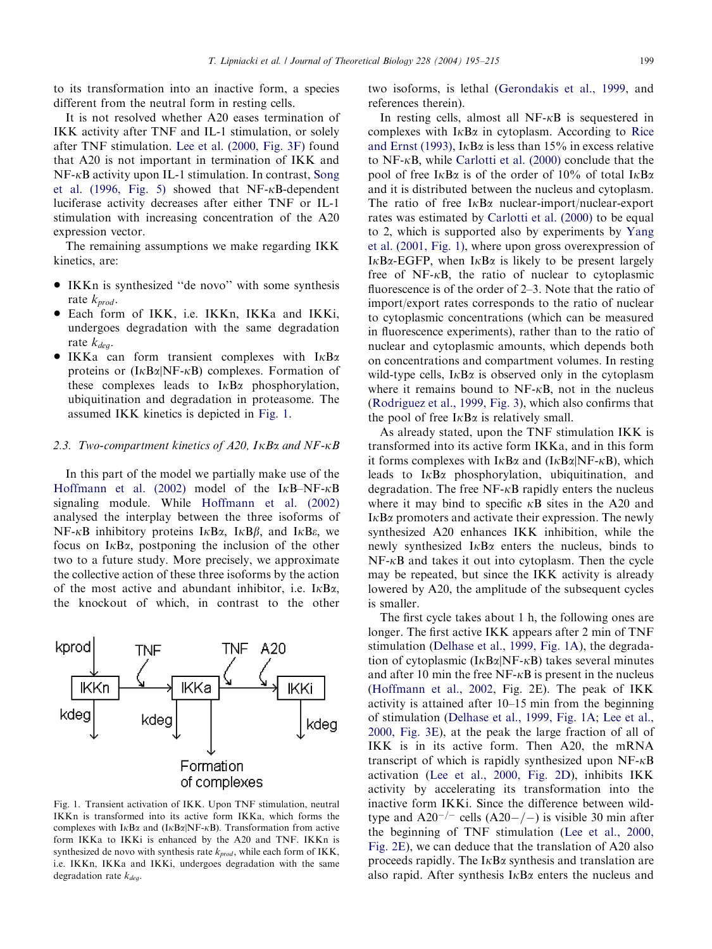to its transformation into an inactive form, a species different from the neutral form in resting cells.

It is not resolved whether A20 eases termination of IKK activity after TNF and IL-1 stimulation, or solely after TNF stimulation. [Lee et al. \(2000, Fig. 3F\)](#page-19-0) found that A20 is not important in termination of IKK and NF-kB activity upon IL-1 stimulation. In contrast, [Song](#page-19-0) [et al. \(1996, Fig. 5\)](#page-19-0) showed that  $NF-\kappa B$ -dependent luciferase activity decreases after either TNF or IL-1 stimulation with increasing concentration of the A20 expression vector.

The remaining assumptions we make regarding IKK kinetics, are:

- IKKn is synthesized "de novo" with some synthesis rate  $k_{prod}$ .
- Each form of IKK, i.e. IKKn, IKKa and IKKi, undergoes degradation with the same degradation rate  $k_{dea}$ .
- $\bullet$  IKKa can form transient complexes with I $\kappa$ B $\alpha$ proteins or  $(I \kappa B \alpha | NF - \kappa B)$  complexes. Formation of these complexes leads to  $I<sub>K</sub>B<sub>\alpha</sub>$  phosphorylation, ubiquitination and degradation in proteasome. The assumed IKK kinetics is depicted in Fig. 1.

## 2.3. Two-compartment kinetics of  $A20$ ,  $I\kappa B\alpha$  and  $NF-\kappa B$

In this part of the model we partially make use of the [Hoffmann et al. \(2002\)](#page-19-0) model of the I $\kappa$ B-NF- $\kappa$ B signaling module. While [Hoffmann et al. \(2002\)](#page-19-0) analysed the interplay between the three isoforms of  $NF-\kappa B$  inhibitory proteins  $I\kappa B\alpha$ ,  $I\kappa B\beta$ , and  $I\kappa B\epsilon$ , we focus on  $I \kappa B\alpha$ , postponing the inclusion of the other two to a future study. More precisely, we approximate the collective action of these three isoforms by the action of the most active and abundant inhibitor, i.e.  $I \kappa B \alpha$ . the knockout of which, in contrast to the other



Fig. 1. Transient activation of IKK. Upon TNF stimulation, neutral IKKn is transformed into its active form IKKa, which forms the complexes with  $I\kappa B\alpha$  and  $(I\kappa B\alpha|NF-\kappa B)$ . Transformation from active form IKKa to IKKi is enhanced by the A20 and TNF. IKKn is synthesized de novo with synthesis rate  $k_{prod}$ , while each form of IKK, i.e. IKKn, IKKa and IKKi, undergoes degradation with the same degradation rate  $k_{deq}$ .

two isoforms, is lethal [\(Gerondakis et al., 1999](#page-19-0), and references therein).

In resting cells, almost all  $NF-\kappa B$  is sequestered in complexes with  $I \kappa B\alpha$  in cytoplasm. According to [Rice](#page-19-0) [and Ernst \(1993\)](#page-19-0), I $\kappa$ B $\alpha$  is less than 15% in excess relative to NF- $\kappa$ B, while [Carlotti et al. \(2000\)](#page-19-0) conclude that the pool of free  $I \kappa B \alpha$  is of the order of 10% of total  $I \kappa B \alpha$ and it is distributed between the nucleus and cytoplasm. The ratio of free  $I \kappa B\alpha$  nuclear-import/nuclear-export rates was estimated by [Carlotti et al. \(2000\)](#page-19-0) to be equal to 2, which is supported also by experiments by [Yang](#page-20-0) [et al. \(2001, Fig. 1\),](#page-20-0) where upon gross overexpression of I $\kappa$ B $\alpha$ -EGFP, when I $\kappa$ B $\alpha$  is likely to be present largely free of NF- $\kappa$ B, the ratio of nuclear to cytoplasmic fluorescence is of the order of 2–3. Note that the ratio of import/export rates corresponds to the ratio of nuclear to cytoplasmic concentrations (which can be measured in fluorescence experiments), rather than to the ratio of nuclear and cytoplasmic amounts, which depends both on concentrations and compartment volumes. In resting wild-type cells,  $I \kappa B\alpha$  is observed only in the cytoplasm where it remains bound to  $NF-\kappa B$ , not in the nucleus [\(Rodriguez et al., 1999, Fig. 3](#page-19-0)), which also confirms that the pool of free  $I \kappa B \alpha$  is relatively small.

As already stated, upon the TNF stimulation IKK is transformed into its active form IKKa, and in this form it forms complexes with  $I \kappa B\alpha$  and  $(I \kappa B\alpha|N F - \kappa B)$ , which leads to  $I \kappa B\alpha$  phosphorylation, ubiquitination, and degradation. The free  $NF-\kappa B$  rapidly enters the nucleus where it may bind to specific  $\kappa$ B sites in the A20 and  $I \kappa B\alpha$  promoters and activate their expression. The newly synthesized A20 enhances IKK inhibition, while the newly synthesized  $I<sub>K</sub>B<sub>\alpha</sub>$  enters the nucleus, binds to  $NF-\kappa B$  and takes it out into cytoplasm. Then the cycle may be repeated, but since the IKK activity is already lowered by A20, the amplitude of the subsequent cycles is smaller.

The first cycle takes about 1 h, the following ones are longer. The first active IKK appears after 2 min of TNF stimulation [\(Delhase et al., 1999, Fig. 1A](#page-19-0)), the degradation of cytoplasmic  $(I \kappa B \alpha | NF - \kappa B)$  takes several minutes and after 10 min the free  $NF-\kappa B$  is present in the nucleus [\(Hoffmann et al., 2002](#page-19-0), Fig. 2E). The peak of IKK activity is attained after 10–15 min from the beginning of stimulation ([Delhase et al., 1999, Fig. 1A](#page-19-0); [Lee et al.,](#page-19-0) [2000, Fig. 3E](#page-19-0)), at the peak the large fraction of all of IKK is in its active form. Then A20, the mRNA transcript of which is rapidly synthesized upon  $NF-\kappa B$ activation [\(Lee et al., 2000, Fig. 2D](#page-19-0)), inhibits IKK activity by accelerating its transformation into the inactive form IKKi. Since the difference between wildtype and  $A20^{-/-}$  cells  $(A20-/-)$  is visible 30 min after the beginning of TNF stimulation ([Lee et al., 2000,](#page-19-0) [Fig. 2E](#page-19-0)), we can deduce that the translation of A20 also proceeds rapidly. The  $I \kappa B \alpha$  synthesis and translation are also rapid. After synthesis  $I \kappa B \alpha$  enters the nucleus and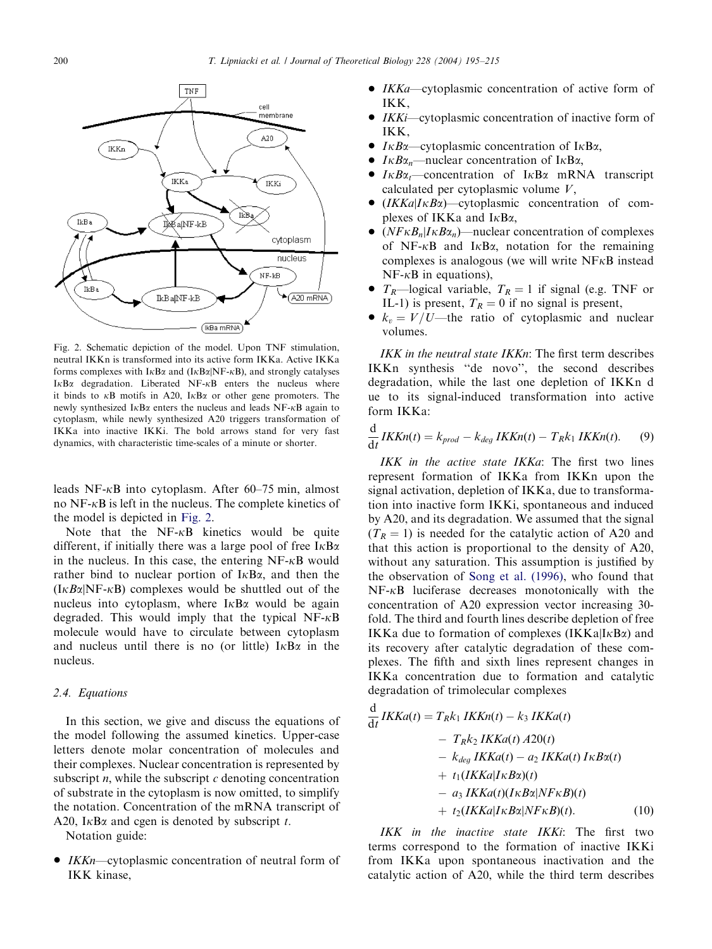d



Fig. 2. Schematic depiction of the model. Upon TNF stimulation, neutral IKKn is transformed into its active form IKKa. Active IKKa forms complexes with  $I \kappa B\alpha$  and  $(I \kappa B\alpha | N F - \kappa B)$ , and strongly catalyses  $I \kappa B\alpha$  degradation. Liberated NF- $\kappa B$  enters the nucleus where it binds to  $\kappa$ B motifs in A20, I $\kappa$ B $\alpha$  or other gene promoters. The newly synthesized  $I \kappa B\alpha$  enters the nucleus and leads NF- $\kappa B$  again to cytoplasm, while newly synthesized A20 triggers transformation of IKKa into inactive IKKi. The bold arrows stand for very fast dynamics, with characteristic time-scales of a minute or shorter.

leads NF- $\kappa$ B into cytoplasm. After 60–75 min, almost no  $NF-\kappa B$  is left in the nucleus. The complete kinetics of the model is depicted in Fig. 2.

Note that the  $NF-\kappa B$  kinetics would be quite different, if initially there was a large pool of free  $I \kappa B \alpha$ in the nucleus. In this case, the entering  $NF-\kappa B$  would rather bind to nuclear portion of  $I \kappa B \alpha$ , and then the  $(I \kappa B \alpha | NF - \kappa B)$  complexes would be shuttled out of the nucleus into cytoplasm, where  $I \kappa B\alpha$  would be again degraded. This would imply that the typical  $NF-\kappa B$ molecule would have to circulate between cytoplasm and nucleus until there is no (or little)  $I \kappa B \alpha$  in the nucleus.

# 2.4. Equations

In this section, we give and discuss the equations of the model following the assumed kinetics. Upper-case letters denote molar concentration of molecules and their complexes. Nuclear concentration is represented by subscript  $n$ , while the subscript  $c$  denoting concentration of substrate in the cytoplasm is now omitted, to simplify the notation. Concentration of the mRNA transcript of A20, I $\kappa$ B $\alpha$  and cgen is denoted by subscript t.

Notation guide:

 $IKKn$ —cytoplasmic concentration of neutral form of IKK kinase,

- *IKKa*—cytoplasmic concentration of active form of IKK,
- IKKi—cytoplasmic concentration of inactive form of IKK,
- $I \kappa B\alpha$ —cytoplasmic concentration of I $\kappa B\alpha$ ,
- $I \kappa B\alpha_n$ —nuclear concentration of I $\kappa B\alpha$ ,
- $I \kappa B \alpha_t$ —concentration of I $\kappa B \alpha$  mRNA transcript calculated per cytoplasmic volume  $V$ ,
- $(IKKa|I\kappa B\alpha)$ —cytoplasmic concentration of complexes of IKKa and  $I<sub>K</sub>B<sub>\alpha</sub>$ ,
- $(NF\kappa B_n|I\kappa B\alpha_n)$ —nuclear concentration of complexes of NF- $\kappa$ B and I $\kappa$ B $\alpha$ , notation for the remaining complexes is analogous (we will write  $N F<sub>K</sub>B$  instead  $NF-\kappa B$  in equations),
- $T_R$ —logical variable,  $T_R = 1$  if signal (e.g. TNF or IL-1) is present,  $T_R = 0$  if no signal is present,
- $k_v = V/U$ —the ratio of cytoplasmic and nuclear volumes.

IKK in the neutral state IKKn: The first term describes IKKn synthesis ''de novo'', the second describes degradation, while the last one depletion of IKKn d ue to its signal-induced transformation into active form IKKa:

$$
\frac{\mathrm{d}}{\mathrm{d}t}IKKn(t) = k_{prod} - k_{deg}IKKn(t) - T_Rk_1IKKn(t). \tag{9}
$$

IKK in the active state IKKa: The first two lines represent formation of IKKa from IKKn upon the signal activation, depletion of IKKa, due to transformation into inactive form IKKi, spontaneous and induced by A20, and its degradation. We assumed that the signal  $(T_R = 1)$  is needed for the catalytic action of A20 and that this action is proportional to the density of A20, without any saturation. This assumption is justified by the observation of [Song et al. \(1996\)](#page-19-0), who found that NF-kB luciferase decreases monotonically with the concentration of A20 expression vector increasing 30 fold. The third and fourth lines describe depletion of free IKKa due to formation of complexes  $(IKKa|IkBa)$  and its recovery after catalytic degradation of these complexes. The fifth and sixth lines represent changes in IKKa concentration due to formation and catalytic degradation of trimolecular complexes

$$
\frac{d}{dt}IKKa(t) = T_Rk_1IKKn(t) - k_3IKKa(t)
$$
  
\n
$$
- T_Rk_2IKKa(t) A20(t)
$$
  
\n
$$
- k_{deg}IKKa(t) - a_2IKKa(t)I\kappa B\alpha(t)
$$
  
\n
$$
+ t_1(IKKa|I\kappa B\alpha)(t)
$$
  
\n
$$
- a_3IKKa(t)(I\kappa B\alpha|NF\kappa B)(t)
$$
  
\n
$$
+ t_2(IKKa|I\kappa B\alpha|NF\kappa B)(t).
$$
 (10)

IKK in the inactive state IKKi: The first two terms correspond to the formation of inactive IKKi from IKKa upon spontaneous inactivation and the catalytic action of A20, while the third term describes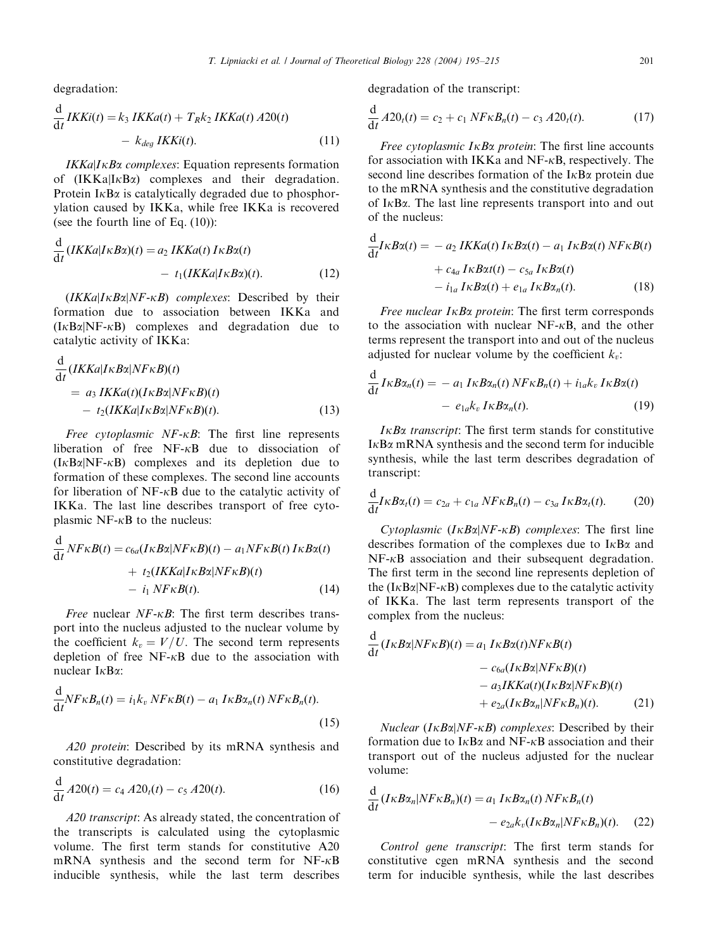degradation:

d

$$
\frac{d}{dt}IKKi(t) = k_3 IKKa(t) + T_Rk_2 IKKa(t) A20(t)
$$

$$
- k_{deg IKKi(t)}.
$$
 (11)

 $IKKa|I<sub>K</sub>Ba$  complexes: Equation represents formation of  $(IKKa|IkBa)$  complexes and their degradation. Protein  $I \kappa B\alpha$  is catalytically degraded due to phosphorylation caused by IKKa, while free IKKa is recovered (see the fourth line of Eq. (10)):

$$
\frac{d}{dt}(IKKa|I\kappa B\alpha)(t) = a_2 IKKa(t) IrB\alpha(t)
$$

$$
- t_1 (IKKa|I\kappa B\alpha)(t).
$$
 (12)

 $(IKKa|I\kappa B\alpha|NF\kappa B)$  complexes: Described by their formation due to association between IKKa and  $(I \kappa B \alpha | NF - \kappa B)$  complexes and degradation due to catalytic activity of IKKa:

$$
\frac{d}{dt} (IKKa|I\kappa Ba|NF\kappa B)(t)
$$
\n
$$
= a_3 IKKa(t)(I\kappa Ba|NF\kappa B)(t)
$$
\n
$$
- t_2 (IKKa|I\kappa Ba|NF\kappa B)(t).
$$
\n(13)

Free cytoplasmic  $NF$ - $\kappa B$ : The first line represents liberation of free  $NF-\kappa B$  due to dissociation of  $(I<sub>K</sub>B<sub>\alpha</sub>|NF-<sub>K</sub>B)$  complexes and its depletion due to formation of these complexes. The second line accounts for liberation of  $NF-\kappa B$  due to the catalytic activity of IKKa. The last line describes transport of free cytoplasmic NF- $\kappa$ B to the nucleus:

$$
\frac{d}{dt} N F \kappa B(t) = c_{6a} (I \kappa B \alpha | N F \kappa B)(t) - a_1 N F \kappa B(t) I \kappa B \alpha(t)
$$

$$
+ t_2 (I K K a | I \kappa B \alpha | N F \kappa B)(t)
$$

$$
- i_1 N F \kappa B(t). \tag{14}
$$

*Free* nuclear  $NF$ - $\kappa$ *B*: The first term describes transport into the nucleus adjusted to the nuclear volume by the coefficient  $k_v = V/U$ . The second term represents depletion of free  $NF-<sub>k</sub>B$  due to the association with nuclear  $I \kappa B \alpha$ :

$$
\frac{\mathrm{d}}{\mathrm{d}t} N F \kappa B_n(t) = i_1 k_v N F \kappa B(t) - a_1 I \kappa B \alpha_n(t) N F \kappa B_n(t). \tag{15}
$$

A20 protein: Described by its mRNA synthesis and constitutive degradation:

$$
\frac{\mathrm{d}}{\mathrm{d}t} A20(t) = c_4 A20_t(t) - c_5 A20(t). \tag{16}
$$

A20 transcript: As already stated, the concentration of the transcripts is calculated using the cytoplasmic volume. The first term stands for constitutive A20 mRNA synthesis and the second term for NF-kB inducible synthesis, while the last term describes degradation of the transcript:

$$
\frac{d}{dt} A 20_t(t) = c_2 + c_1 N F \kappa B_n(t) - c_3 A 20_t(t).
$$
 (17)

Free cytoplasmic  $I \kappa B\alpha$  protein: The first line accounts for association with IKKa and NF- $\kappa$ B, respectively. The second line describes formation of the  $I \kappa B \alpha$  protein due to the mRNA synthesis and the constitutive degradation of  $I \kappa B \alpha$ . The last line represents transport into and out of the nucleus:

$$
\frac{d}{dt}I\kappa B\alpha(t) = -a_2 IKKa(t) IrB\alpha(t) - a_1 IrB\alpha(t) NF\kappa B(t) \n+ c_{4a} IrB\alpha(t) - c_{5a} IrB\alpha(t) \n- i_{1a} IrB\alpha(t) + e_{1a} IrB\alpha_n(t).
$$
\n(18)

*Free nuclear*  $I \kappa B\alpha$  *protein*: The first term corresponds to the association with nuclear  $NF-\kappa B$ , and the other terms represent the transport into and out of the nucleus adjusted for nuclear volume by the coefficient  $k_v$ :

$$
\frac{d}{dt}I\kappa B\alpha_n(t) = - a_1 I\kappa B\alpha_n(t) N F \kappa B_n(t) + i_{1a}k_v I\kappa B\alpha(t) - e_{1a}k_v I\kappa B\alpha_n(t).
$$
\n(19)

 $I\kappa B\alpha$  transcript: The first term stands for constitutive  $I \kappa B\alpha$  mRNA synthesis and the second term for inducible synthesis, while the last term describes degradation of transcript:

$$
\frac{\mathrm{d}}{\mathrm{d}t}I\kappa B\alpha_t(t) = c_{2a} + c_{1a}N F\kappa B_n(t) - c_{3a}I\kappa B\alpha_t(t). \tag{20}
$$

Cytoplasmic  $(I \kappa B \alpha | NF - \kappa B)$  complexes: The first line describes formation of the complexes due to  $I \kappa B \alpha$  and  $NF-\kappa B$  association and their subsequent degradation. The first term in the second line represents depletion of the  $(I \kappa B \alpha | NF - \kappa B)$  complexes due to the catalytic activity of IKKa. The last term represents transport of the complex from the nucleus:

$$
\frac{d}{dt}(I\kappa B\alpha|NF\kappa B)(t) = a_1 I\kappa B\alpha(t)NF\kappa B(t)
$$

$$
- c_{6a}(I\kappa B\alpha|NF\kappa B)(t)
$$

$$
- a_3IKKa(t)(I\kappa B\alpha|NF\kappa B)(t)
$$

$$
+ e_{2a}(I\kappa B\alpha_n|NF\kappa B_n)(t).
$$
(21)

Nuclear  $(I \kappa B \alpha | NF - \kappa B)$  complexes: Described by their formation due to  $I \kappa B\alpha$  and NF- $\kappa B$  association and their transport out of the nucleus adjusted for the nuclear volume:

$$
\frac{d}{dt} (I\kappa B\alpha_n| NF\kappa B_n)(t) = a_1 I\kappa B\alpha_n(t) NF\kappa B_n(t)
$$

$$
- e_{2a} k_v (I\kappa B\alpha_n| NF\kappa B_n)(t). \tag{22}
$$

Control gene transcript: The first term stands for constitutive cgen mRNA synthesis and the second term for inducible synthesis, while the last describes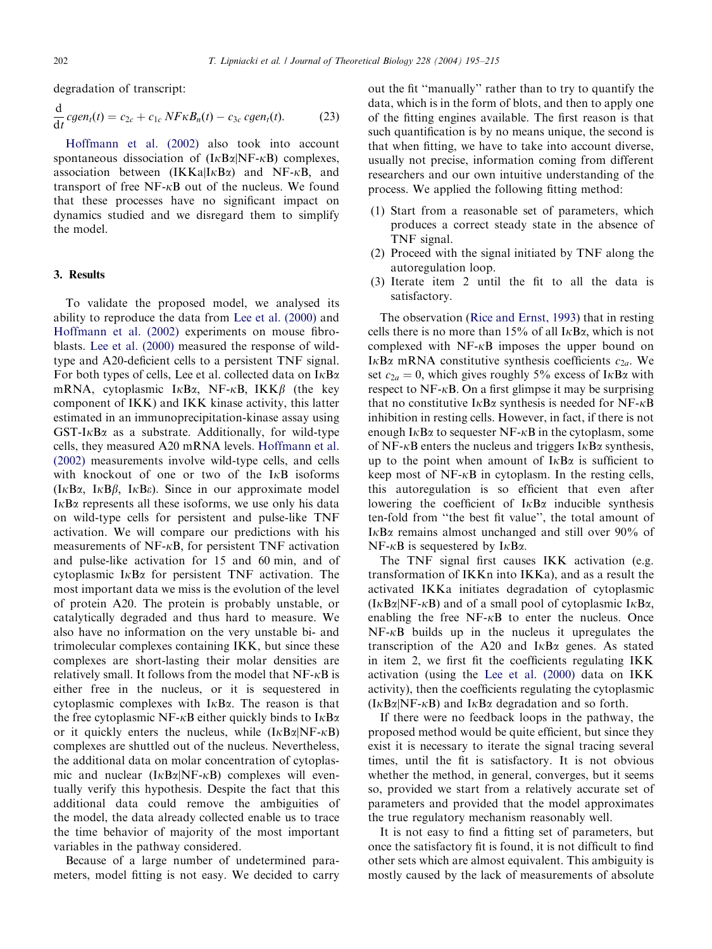degradation of transcript:

$$
\frac{\mathrm{d}}{\mathrm{d}t} cgen_t(t) = c_{2c} + c_{1c} NF\kappa B_n(t) - c_{3c} cgen_t(t). \tag{23}
$$

[Hoffmann et al. \(2002\)](#page-19-0) also took into account spontaneous dissociation of  $(I_{K}B_{\alpha}|NF-\kappa B)$  complexes, association between  $(IKKa|I\kappa B\alpha)$  and NF- $\kappa B$ , and transport of free  $NF-\kappa B$  out of the nucleus. We found that these processes have no significant impact on dynamics studied and we disregard them to simplify the model.

## 3. Results

To validate the proposed model, we analysed its ability to reproduce the data from [Lee et al. \(2000\)](#page-19-0) and [Hoffmann et al. \(2002\)](#page-19-0) experiments on mouse fibroblasts. [Lee et al. \(2000\)](#page-19-0) measured the response of wildtype and  $A20$ -deficient cells to a persistent TNF signal. For both types of cells, Lee et al. collected data on  $I \kappa B \alpha$ mRNA, cytoplasmic I $\kappa$ B $\alpha$ , NF- $\kappa$ B, IKK $\beta$  (the key component of IKK) and IKK kinase activity, this latter estimated in an immunoprecipitation-kinase assay using  $GST-I<sub>K</sub>B<sub>\alpha</sub>$  as a substrate. Additionally, for wild-type cells, they measured A20 mRNA levels. [Hoffmann et al.](#page-19-0) [\(2002\)](#page-19-0) measurements involve wild-type cells, and cells with knockout of one or two of the  $I<sub>K</sub>B$  isoforms  $(I \kappa B\alpha, I \kappa B\beta, I \kappa B\epsilon)$ . Since in our approximate model  $I \kappa B\alpha$  represents all these isoforms, we use only his data on wild-type cells for persistent and pulse-like TNF activation. We will compare our predictions with his measurements of  $NF-\kappa B$ , for persistent TNF activation and pulse-like activation for 15 and 60 min; and of cytoplasmic  $I \kappa B\alpha$  for persistent TNF activation. The most important data we miss is the evolution of the level of protein A20. The protein is probably unstable, or catalytically degraded and thus hard to measure. We also have no information on the very unstable bi- and trimolecular complexes containing IKK, but since these complexes are short-lasting their molar densities are relatively small. It follows from the model that  $NF-\kappa B$  is either free in the nucleus, or it is sequestered in cytoplasmic complexes with  $I \kappa B \alpha$ . The reason is that the free cytoplasmic NF- $\kappa$ B either quickly binds to  $I\kappa$ B $\alpha$ or it quickly enters the nucleus, while  $(I_{K}B\alpha|NF-\kappa B)$ complexes are shuttled out of the nucleus. Nevertheless, the additional data on molar concentration of cytoplasmic and nuclear  $(I \kappa B \alpha | N F - \kappa B)$  complexes will eventually verify this hypothesis. Despite the fact that this additional data could remove the ambiguities of the model, the data already collected enable us to trace the time behavior of majority of the most important variables in the pathway considered.

Because of a large number of undetermined parameters, model fitting is not easy. We decided to carry out the fit ''manually'' rather than to try to quantify the data, which is in the form of blots, and then to apply one of the fitting engines available. The first reason is that such quantification is by no means unique, the second is that when fitting, we have to take into account diverse, usually not precise, information coming from different researchers and our own intuitive understanding of the process. We applied the following fitting method:

- (1) Start from a reasonable set of parameters, which produces a correct steady state in the absence of TNF signal.
- $(2)$  Proceed with the signal initiated by TNF along the autoregulation loop.
- (3) Iterate item 2 until the fit to all the data is satisfactory.

The observation [\(Rice and Ernst, 1993\)](#page-19-0) that in resting cells there is no more than  $15\%$  of all I $\kappa$ B $\alpha$ , which is not complexed with  $NF-\kappa B$  imposes the upper bound on I $\kappa$ B $\alpha$  mRNA constitutive synthesis coefficients  $c_{2a}$ . We set  $c_{2a} = 0$ , which gives roughly 5% excess of I $\kappa$ B $\alpha$  with respect to  $NF - \kappa B$ . On a first glimpse it may be surprising that no constitutive  $I \kappa B\alpha$  synthesis is needed for NF- $\kappa B$ inhibition in resting cells. However, in fact, if there is not enough  $I \kappa B \alpha$  to sequester NF- $\kappa B$  in the cytoplasm, some of NF- $\kappa$ B enters the nucleus and triggers I $\kappa$ B $\alpha$  synthesis, up to the point when amount of  $I \kappa B\alpha$  is sufficient to keep most of  $NF-\kappa B$  in cytoplasm. In the resting cells, this autoregulation is so efficient that even after lowering the coefficient of  $I_{\kappa}B_{\alpha}$  inducible synthesis ten-fold from ''the best fit value'', the total amount of I $\kappa$ B $\alpha$  remains almost unchanged and still over 90% of  $NF-\kappa B$  is sequestered by  $I\kappa B\alpha$ .

The TNF signal first causes IKK activation (e.g. transformation of IKKn into IKKa), and as a result the activated IKKa initiates degradation of cytoplasmic  $(I_{\kappa}B_{\alpha}|NF_{-\kappa}B)$  and of a small pool of cytoplasmic  $I_{\kappa}B_{\alpha}$ , enabling the free  $NF-\kappa B$  to enter the nucleus. Once  $NF-\kappa B$  builds up in the nucleus it upregulates the transcription of the A20 and  $I<sub>K</sub>B<sub>\alpha</sub>$  genes. As stated in item 2, we first fit the coefficients regulating IKK activation (using the [Lee et al. \(2000\)](#page-19-0) data on IKK activity), then the coefficients regulating the cytoplasmic  $(I_{\kappa}B_{\alpha}|NF_{-\kappa}B)$  and  $I_{\kappa}B_{\alpha}$  degradation and so forth.

If there were no feedback loops in the pathway, the proposed method would be quite efficient, but since they exist it is necessary to iterate the signal tracing several times, until the fit is satisfactory. It is not obvious whether the method, in general, converges, but it seems so, provided we start from a relatively accurate set of parameters and provided that the model approximates the true regulatory mechanism reasonably well.

It is not easy to find a fitting set of parameters, but once the satisfactory fit is found, it is not difficult to find other sets which are almost equivalent. This ambiguity is mostly caused by the lack of measurements of absolute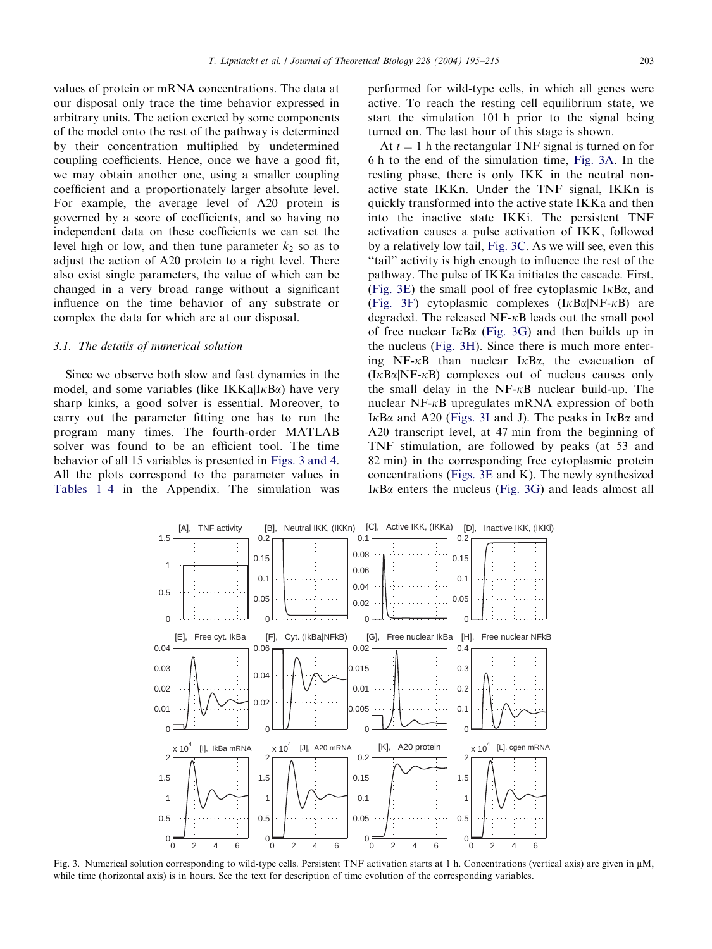<span id="page-8-0"></span>values of protein or mRNA concentrations. The data at our disposal only trace the time behavior expressed in arbitrary units. The action exerted by some components of the model onto the rest of the pathway is determined by their concentration multiplied by undetermined coupling coefficients. Hence, once we have a good fit, we may obtain another one, using a smaller coupling coefficient and a proportionately larger absolute level. For example, the average level of A20 protein is governed by a score of coefficients, and so having no independent data on these coefficients we can set the level high or low, and then tune parameter  $k<sub>2</sub>$  so as to adjust the action of A20 protein to a right level. There also exist single parameters, the value of which can be changed in a very broad range without a significant influence on the time behavior of any substrate or complex the data for which are at our disposal.

#### 3.1. The details of numerical solution

Since we observe both slow and fast dynamics in the model, and some variables (like  $IKKa|IkBa$ ) have very sharp kinks, a good solver is essential. Moreover, to carry out the parameter fitting one has to run the program many times. The fourth-order MATLAB solver was found to be an efficient tool. The time behavior of all 15 variables is presented in Figs. 3 and 4. All the plots correspond to the parameter values in [Tables 1–4](#page-17-0) in the Appendix. The simulation was

performed for wild-type cells, in which all genes were active. To reach the resting cell equilibrium state, we start the simulation 101 h prior to the signal being turned on. The last hour of this stage is shown.

At  $t = 1$  h the rectangular TNF signal is turned on for 6 h to the end of the simulation time, Fig. 3A. In the resting phase, there is only IKK in the neutral nonactive state IKKn. Under the TNF signal, IKKn is quickly transformed into the active state IKKa and then into the inactive state IKKi. The persistent TNF activation causes a pulse activation of IKK, followed by a relatively low tail, Fig. 3C. As we will see, even this ''tail'' activity is high enough to influence the rest of the pathway. The pulse of IKKa initiates the cascade. First, (Fig. 3E) the small pool of free cytoplasmic  $I \kappa B \alpha$ , and (Fig. 3F) cytoplasmic complexes  $(I \kappa B\alpha|N F - \kappa B)$  are degraded. The released  $NF-\kappa B$  leads out the small pool of free nuclear  $I \kappa B\alpha$  (Fig. 3G) and then builds up in the nucleus (Fig. 3H). Since there is much more entering NF- $\kappa$ B than nuclear I $\kappa$ B $\alpha$ , the evacuation of  $(I \kappa B\alpha|N F - \kappa B)$  complexes out of nucleus causes only the small delay in the  $NF-\kappa B$  nuclear build-up. The nuclear NF- $\kappa$ B upregulates mRNA expression of both I $\kappa$ B $\alpha$  and A20 (Figs. 3I and J). The peaks in I $\kappa$ B $\alpha$  and A20 transcript level, at 47 min from the beginning of TNF stimulation, are followed by peaks (at 53 and 82 min) in the corresponding free cytoplasmic protein concentrations (Figs. 3E and K). The newly synthesized  $I \kappa B\alpha$  enters the nucleus (Fig. 3G) and leads almost all



Fig. 3. Numerical solution corresponding to wild-type cells. Persistent TNF activation starts at 1 h. Concentrations (vertical axis) are given in  $\mu$ M, while time (horizontal axis) is in hours. See the text for description of time evolution of the corresponding variables.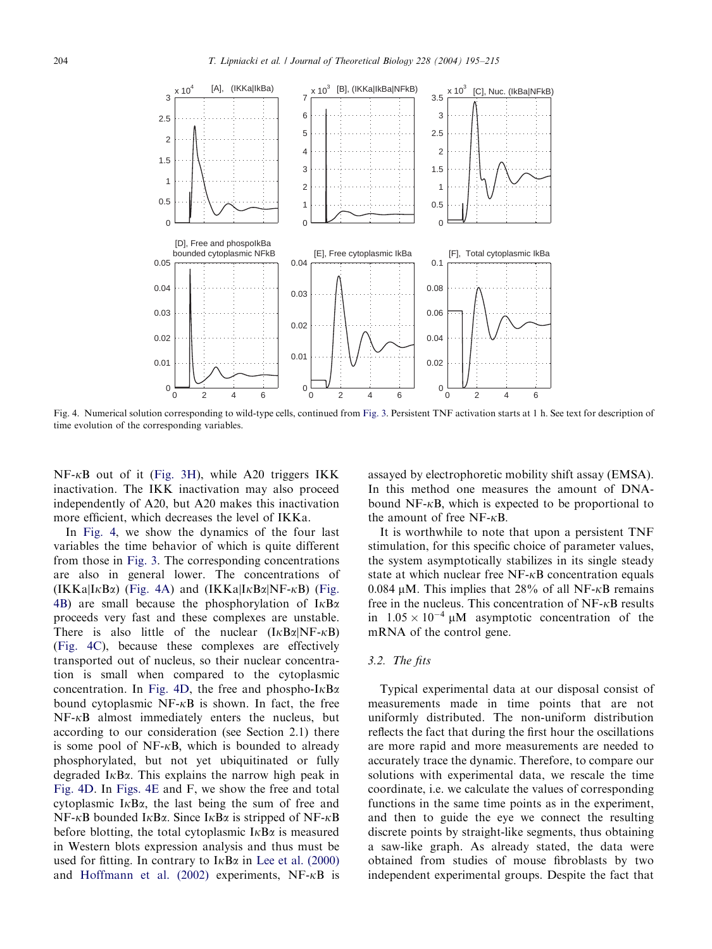

Fig. 4. Numerical solution corresponding to wild-type cells, continued from [Fig. 3.](#page-8-0) Persistent TNF activation starts at 1 h. See text for description of time evolution of the corresponding variables.

 $NF-\kappa B$  out of it ([Fig. 3H](#page-8-0)), while A20 triggers IKK inactivation. The IKK inactivation may also proceed independently of A20, but A20 makes this inactivation more efficient, which decreases the level of IKKa.

In Fig. 4, we show the dynamics of the four last variables the time behavior of which is quite different from those in [Fig. 3](#page-8-0). The corresponding concentrations are also in general lower. The concentrations of  $(IKKa|I\kappa B\alpha)$  (Fig. 4A) and  $(IKKa|I\kappa B\alpha|NF-\kappa B)$  (Fig. 4B) are small because the phosphorylation of  $I \kappa B \alpha$ proceeds very fast and these complexes are unstable. There is also little of the nuclear  $(I \kappa B \alpha | N F - \kappa B)$ (Fig. 4C), because these complexes are effectively transported out of nucleus, so their nuclear concentration is small when compared to the cytoplasmic concentration. In Fig. 4D, the free and phospho- $I \kappa B \alpha$ bound cytoplasmic  $NF-\kappa B$  is shown. In fact, the free  $NF-\kappa B$  almost immediately enters the nucleus, but according to our consideration (see Section 2.1) there is some pool of  $NF-\kappa B$ , which is bounded to already phosphorylated, but not yet ubiquitinated or fully degraded  $I \kappa B \alpha$ . This explains the narrow high peak in Fig. 4D. In Figs. 4E and F, we show the free and total cytoplasmic  $I \kappa B \alpha$ , the last being the sum of free and  $NF-\kappa B$  bounded  $I\kappa B\alpha$ . Since  $I\kappa B\alpha$  is stripped of  $NF-\kappa B$ before blotting, the total cytoplasmic  $I \kappa B \alpha$  is measured in Western blots expression analysis and thus must be used for fitting. In contrary to  $I \kappa B \alpha$  in [Lee et al. \(2000\)](#page-19-0) and Hoffmann et al.  $(2002)$  experiments, NF- $\kappa$ B is assayed by electrophoretic mobility shift assay (EMSA). In this method one measures the amount of DNAbound  $NF-\kappa B$ , which is expected to be proportional to the amount of free  $NF-\kappa B$ .

It is worthwhile to note that upon a persistent TNF stimulation, for this specific choice of parameter values, the system asymptotically stabilizes in its single steady state at which nuclear free  $NF-\kappa B$  concentration equals 0.084  $\mu$ M. This implies that 28% of all NF- $\kappa$ B remains free in the nucleus. This concentration of  $NF-\kappa B$  results in  $1.05 \times 10^{-4}$  µM asymptotic concentration of the mRNA of the control gene.

# 3.2. The fits

Typical experimental data at our disposal consist of measurements made in time points that are not uniformly distributed. The non-uniform distribution reflects the fact that during the first hour the oscillations are more rapid and more measurements are needed to accurately trace the dynamic. Therefore, to compare our solutions with experimental data, we rescale the time coordinate, i.e. we calculate the values of corresponding functions in the same time points as in the experiment, and then to guide the eye we connect the resulting discrete points by straight-like segments, thus obtaining a saw-like graph. As already stated, the data were obtained from studies of mouse fibroblasts by two independent experimental groups. Despite the fact that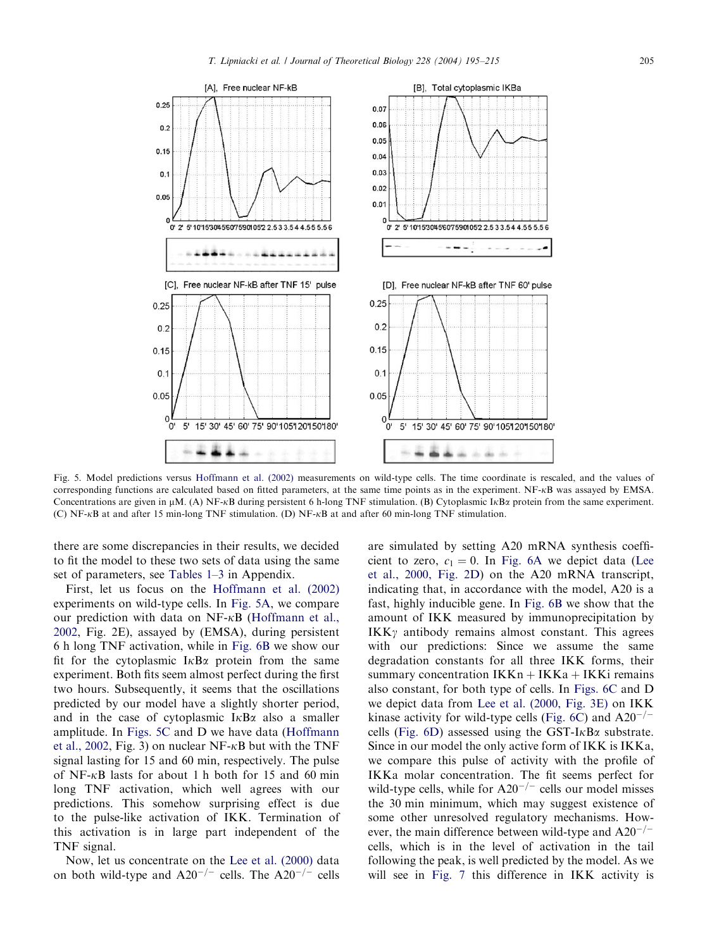

Fig. 5. Model predictions versus [Hoffmann et al. \(2002\)](#page-19-0) measurements on wild-type cells. The time coordinate is rescaled, and the values of corresponding functions are calculated based on fitted parameters, at the same time points as in the experiment. NF-kB was assayed by EMSA. Concentrations are given in  $\mu$ M. (A) NF- $\kappa$ B during persistent 6 h-long TNF stimulation. (B) Cytoplasmic I $\kappa$ B $\alpha$  protein from the same experiment. (C) NF- $\kappa$ B at and after 15 min-long TNF stimulation. (D) NF- $\kappa$ B at and after 60 min-long TNF stimulation.

there are some discrepancies in their results, we decided to fit the model to these two sets of data using the same set of parameters, see [Tables 1–3](#page-17-0) in Appendix.

First, let us focus on the [Hoffmann et al. \(2002\)](#page-19-0) experiments on wild-type cells. In Fig. 5A, we compare our prediction with data on  $NF-\kappa B$  [\(Hoffmann et al.,](#page-19-0) [2002,](#page-19-0) Fig. 2E), assayed by (EMSA), during persistent 6 h long TNF activation, while in [Fig. 6B](#page-11-0) we show our fit for the cytoplasmic  $I \kappa B\alpha$  protein from the same experiment. Both fits seem almost perfect during the first two hours. Subsequently, it seems that the oscillations predicted by our model have a slightly shorter period, and in the case of cytoplasmic  $I \kappa B \alpha$  also a smaller amplitude. In Figs. 5C and D we have data [\(Hoffmann](#page-19-0) [et al., 2002,](#page-19-0) Fig. 3) on nuclear NF- $\kappa$ B but with the TNF signal lasting for 15 and 60 min, respectively. The pulse of NF- $\kappa$ B lasts for about 1 h both for 15 and 60 min long TNF activation, which well agrees with our predictions. This somehow surprising effect is due to the pulse-like activation of IKK. Termination of this activation is in large part independent of the TNF signal.

Now, let us concentrate on the [Lee et al. \(2000\)](#page-19-0) data on both wild-type and  $A20^{-/-}$  cells. The  $A20^{-/-}$  cells are simulated by setting A20 mRNA synthesis coefficient to zero,  $c_1 = 0$ . In [Fig. 6A](#page-11-0) we depict data ([Lee](#page-19-0) [et al., 2000, Fig. 2D](#page-19-0)) on the A20 mRNA transcript, indicating that, in accordance with the model, A20 is a fast, highly inducible gene. In [Fig. 6B](#page-11-0) we show that the amount of IKK measured by immunoprecipitation by  $IKK\gamma$  antibody remains almost constant. This agrees with our predictions: Since we assume the same degradation constants for all three IKK forms, their summary concentration  $IKKn + IKKa + IKKi$  remains also constant, for both type of cells. In [Figs. 6C](#page-11-0) and D we depict data from [Lee et al. \(2000, Fig. 3E\)](#page-19-0) on IKK kinase activity for wild-type cells [\(Fig. 6C\)](#page-11-0) and  $A20^{-/-}$ cells (Fig.  $6D$ ) assessed using the GST-I $\kappa$ B $\alpha$  substrate. Since in our model the only active form of IKK is IKKa, we compare this pulse of activity with the profile of IKKa molar concentration. The fit seems perfect for wild-type cells, while for  $A20^{-/-}$  cells our model misses the 30 min minimum, which may suggest existence of some other unresolved regulatory mechanisms. However, the main difference between wild-type and  $A20^{-/-}$ cells, which is in the level of activation in the tail following the peak, is well predicted by the model. As we will see in [Fig. 7](#page-12-0) this difference in IKK activity is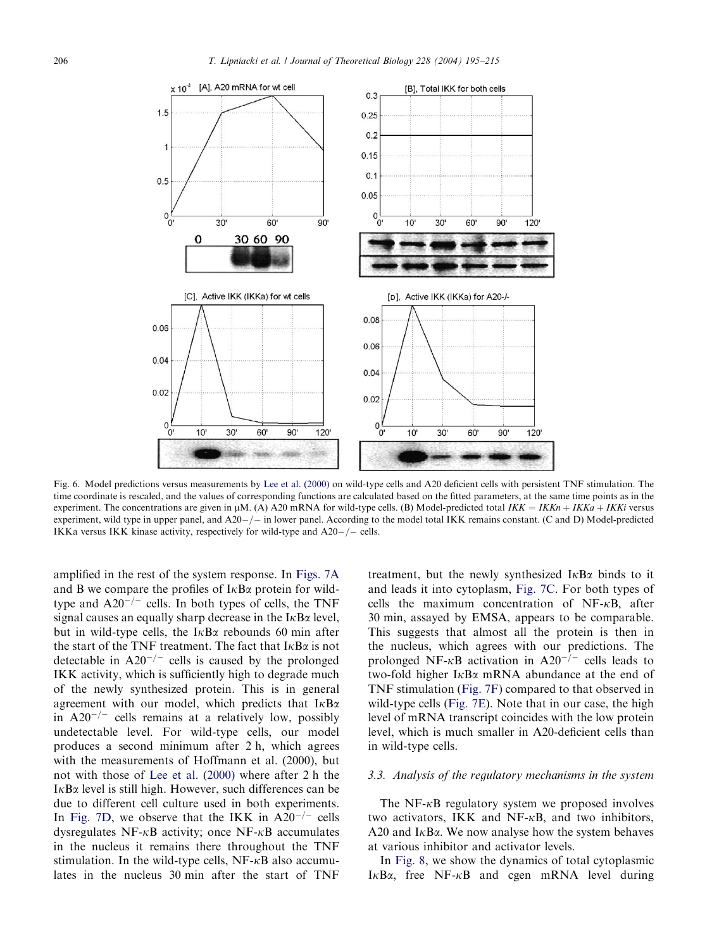<span id="page-11-0"></span>

Fig. 6. Model predictions versus measurements by [Lee et al. \(2000\)](#page-19-0) on wild-type cells and A20 deficient cells with persistent TNF stimulation. The time coordinate is rescaled, and the values of corresponding functions are calculated based on the fitted parameters, at the same time points as in the experiment. The concentrations are given in  $\mu$ M. (A) A20 mRNA for wild-type cells. (B) Model-predicted total IKK = IKKn + IKKa + IKKi versus experiment, wild type in upper panel, and  $A20-/-$  in lower panel. According to the model total IKK remains constant. (C and D) Model-predicted IKKa versus IKK kinase activity, respectively for wild-type and  $A20-/-$  cells.

amplified in the rest of the system response. In [Figs. 7A](#page-12-0) and B we compare the profiles of  $I \kappa B \alpha$  protein for wildtype and  $A20^{-/-}$  cells. In both types of cells, the TNF signal causes an equally sharp decrease in the  $I \kappa B \alpha$  level, but in wild-type cells, the  $I \kappa B\alpha$  rebounds 60 min after the start of the TNF treatment. The fact that  $I \kappa B \alpha$  is not detectable in  $A20^{-/-}$  cells is caused by the prolonged IKK activity, which is sufficiently high to degrade much of the newly synthesized protein. This is in general agreement with our model, which predicts that  $I \kappa B \alpha$ in  $A20^{-/-}$  cells remains at a relatively low, possibly undetectable level. For wild-type cells, our model produces a second minimum after 2 h, which agrees with the measurements of Hoffmann et al. (2000), but not with those of [Lee et al. \(2000\)](#page-19-0) where after 2 h the  $I<sub>K</sub>B<sub>\alpha</sub>$  level is still high. However, such differences can be due to different cell culture used in both experiments. In [Fig. 7D](#page-12-0), we observe that the IKK in  $A20^{-/-}$  cells dysregulates  $NF-\kappa B$  activity; once  $NF-\kappa B$  accumulates in the nucleus it remains there throughout the TNF stimulation. In the wild-type cells,  $NF-\kappa B$  also accumulates in the nucleus 30 min after the start of TNF

treatment, but the newly synthesized  $I<sub>K</sub>B<sub>\alpha</sub>$  binds to it and leads it into cytoplasm, [Fig. 7C.](#page-12-0) For both types of cells the maximum concentration of  $NF-\kappa B$ , after 30 min; assayed by EMSA, appears to be comparable. This suggests that almost all the protein is then in the nucleus, which agrees with our predictions. The prolonged NF- $\kappa$ B activation in A20<sup>-/-</sup> cells leads to two-fold higher  $I_{\kappa}B_{\alpha}$  mRNA abundance at the end of TNF stimulation ([Fig. 7F](#page-12-0)) compared to that observed in wild-type cells ([Fig. 7E](#page-12-0)). Note that in our case, the high level of mRNA transcript coincides with the low protein level, which is much smaller in A20-deficient cells than in wild-type cells.

## 3.3. Analysis of the regulatory mechanisms in the system

The NF- $\kappa$ B regulatory system we proposed involves two activators, IKK and NF- $\kappa$ B, and two inhibitors, A20 and  $I<sub>K</sub>B<sub>\alpha</sub>$ . We now analyse how the system behaves at various inhibitor and activator levels.

In [Fig. 8,](#page-13-0) we show the dynamics of total cytoplasmic  $I \kappa B\alpha$ , free NF- $\kappa B$  and cgen mRNA level during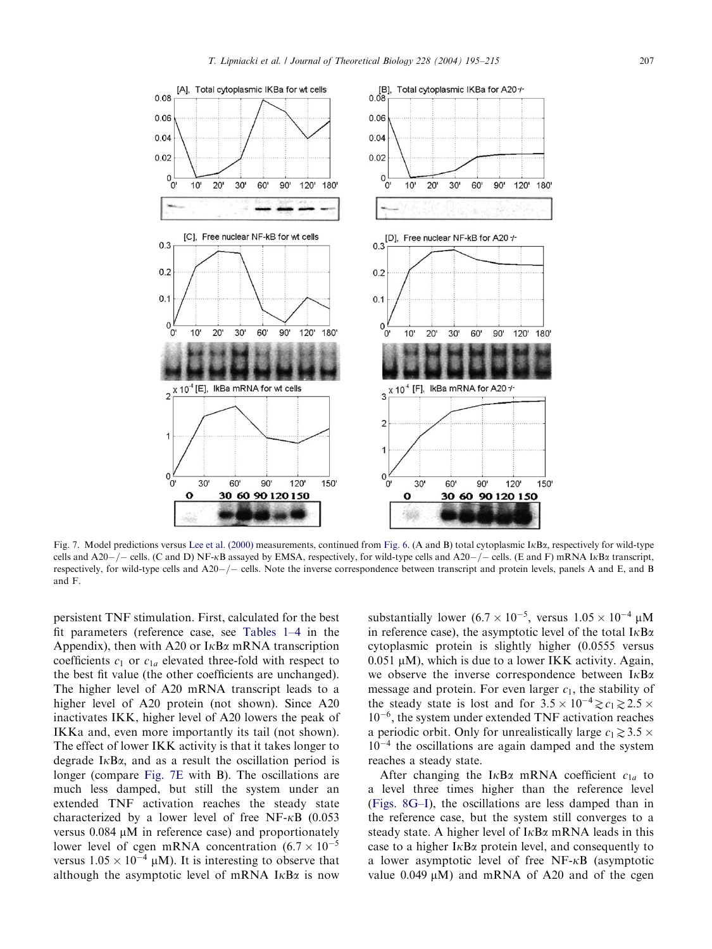<span id="page-12-0"></span>

Fig. 7. Model predictions versus [Lee et al. \(2000\)](#page-19-0) measurements, continued from [Fig. 6.](#page-11-0) (A and B) total cytoplasmic IkBa; respectively for wild-type cells and A20-/- cells. (C and D) NF-kB assayed by EMSA, respectively, for wild-type cells and A20-/- cells. (E and F) mRNA IkB $\alpha$  transcript, respectively, for wild-type cells and  $A20-/-$  cells. Note the inverse correspondence between transcript and protein levels, panels A and E, and B and F.

persistent TNF stimulation. First, calculated for the best fit parameters (reference case, see [Tables 1–4](#page-17-0) in the Appendix), then with A20 or  $I \kappa B\alpha$  mRNA transcription coefficients  $c_1$  or  $c_{1a}$  elevated three-fold with respect to the best fit value (the other coefficients are unchanged). The higher level of A20 mRNA transcript leads to a higher level of A20 protein (not shown). Since A20 inactivates IKK, higher level of A20 lowers the peak of IKKa and, even more importantly its tail (not shown). The effect of lower IKK activity is that it takes longer to degrade  $I \kappa B\alpha$ , and as a result the oscillation period is longer (compare Fig. 7E with B). The oscillations are much less damped, but still the system under an extended TNF activation reaches the steady state characterized by a lower level of free NF- $\kappa$ B (0.053 versus  $0.084 \mu M$  in reference case) and proportionately lower level of cgen mRNA concentration  $(6.7 \times 10^{-5})$ versus  $1.05 \times 10^{-4}$  µM). It is interesting to observe that although the asymptotic level of mRNA  $I \kappa B\alpha$  is now

substantially lower  $(6.7 \times 10^{-5})$ , versus  $1.05 \times 10^{-4}$   $\mu$ M in reference case), the asymptotic level of the total  $I \kappa B \alpha$ cytoplasmic protein is slightly higher (0.0555 versus  $0.051 \mu M$ ), which is due to a lower IKK activity. Again, we observe the inverse correspondence between  $I \kappa B \alpha$ message and protein. For even larger  $c_1$ , the stability of the steady state is lost and for  $3.5 \times 10^{-4} \geq c_1 \geq 2.5 \times$  $10^{-6}$ , the system under extended TNF activation reaches a periodic orbit. Only for unrealistically large  $c_1 \geq 3.5 \times$  $10^{-4}$  the oscillations are again damped and the system reaches a steady state.

After changing the I<sub>K</sub>B<sub> $\alpha$ </sub> mRNA coefficient  $c_{1a}$  to a level three times higher than the reference level [\(Figs. 8G–I\)](#page-13-0), the oscillations are less damped than in the reference case, but the system still converges to a steady state. A higher level of  $I \kappa B \alpha$  mRNA leads in this case to a higher  $I \kappa B\alpha$  protein level, and consequently to a lower asymptotic level of free NF-kB (asymptotic value  $0.049 \mu M$ ) and mRNA of A20 and of the cgen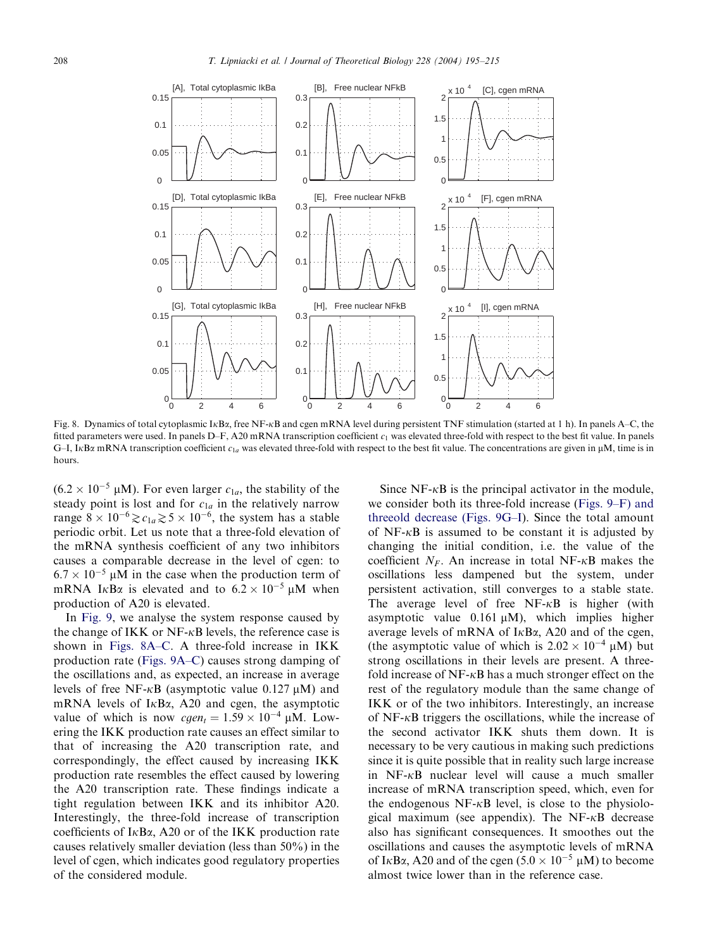<span id="page-13-0"></span>

Fig. 8. Dynamics of total cytoplasmic I<sub>KBa</sub>, free NF-<sub>KB</sub> and cgen mRNA level during persistent TNF stimulation (started at 1 h). In panels A–C, the fitted parameters were used. In panels D–F, A20 mRNA transcription coefficient  $c_1$  was elevated three-fold with respect to the best fit value. In panels G–I, IKB $\alpha$  mRNA transcription coefficient  $c_{1a}$  was elevated three-fold with respect to the best fit value. The concentrations are given in  $\mu$ M, time is in hours.

 $(6.2 \times 10^{-5} \text{ }\mu\text{M})$ . For even larger  $c_{1a}$ , the stability of the steady point is lost and for  $c_{1a}$  in the relatively narrow range  $8 \times 10^{-6} \ge c_{1a} \ge 5 \times 10^{-6}$ , the system has a stable periodic orbit. Let us note that a three-fold elevation of the mRNA synthesis coefficient of any two inhibitors causes a comparable decrease in the level of cgen: to  $6.7 \times 10^{-5}$  µM in the case when the production term of mRNA I<sub>K</sub>B<sub> $\alpha$ </sub> is elevated and to  $6.2 \times 10^{-5}$  µM when production of A20 is elevated.

In [Fig. 9,](#page-14-0) we analyse the system response caused by the change of IKK or  $NF-\kappa B$  levels, the reference case is shown in Figs. 8A–C. A three-fold increase in IKK production rate [\(Figs. 9A–C](#page-14-0)) causes strong damping of the oscillations and, as expected, an increase in average levels of free NF- $\kappa$ B (asymptotic value 0.127  $\mu$ M) and mRNA levels of  $I<sub>K</sub>B<sub>\alpha</sub>$ , A20 and cgen, the asymptotic value of which is now  $cgen_t = 1.59 \times 10^{-4} \mu M$ . Lowering the IKK production rate causes an effect similar to that of increasing the A20 transcription rate, and correspondingly, the effect caused by increasing IKK production rate resembles the effect caused by lowering the A20 transcription rate. These findings indicate a tight regulation between IKK and its inhibitor A20. Interestingly, the three-fold increase of transcription coefficients of  $I \kappa B\alpha$ , A20 or of the IKK production rate causes relatively smaller deviation (less than 50%) in the level of cgen, which indicates good regulatory properties of the considered module.

Since  $NF-\kappa B$  is the principal activator in the module, we consider both its three-fold increase ([Figs. 9–F\) and](#page-14-0) [threeold decrease \(Figs. 9G–I\)](#page-14-0). Since the total amount of  $NF-\kappa B$  is assumed to be constant it is adjusted by changing the initial condition, i.e. the value of the coefficient  $N_F$ . An increase in total NF- $\kappa$ B makes the oscillations less dampened but the system, under persistent activation, still converges to a stable state. The average level of free  $NF-\kappa B$  is higher (with asymptotic value  $0.161 \mu M$ ), which implies higher average levels of mRNA of  $I<sub>\kappa</sub>B<sub>\alpha</sub>$ , A20 and of the cgen, (the asymptotic value of which is  $2.02 \times 10^{-4}$  µM) but strong oscillations in their levels are present. A threefold increase of  $NF-\kappa B$  has a much stronger effect on the rest of the regulatory module than the same change of IKK or of the two inhibitors. Interestingly, an increase of  $NF-\kappa B$  triggers the oscillations, while the increase of the second activator IKK shuts them down. It is necessary to be very cautious in making such predictions since it is quite possible that in reality such large increase in  $NF-\kappa B$  nuclear level will cause a much smaller increase of mRNA transcription speed, which, even for the endogenous  $NF-\kappa B$  level, is close to the physiological maximum (see appendix). The  $NF-\kappa B$  decrease also has significant consequences. It smoothes out the oscillations and causes the asymptotic levels of mRNA of I<sub>K</sub>B<sub> $\alpha$ </sub>, A<sub>20</sub> and of the cgen (5.0  $\times$  10<sup>-5</sup> µM) to become almost twice lower than in the reference case.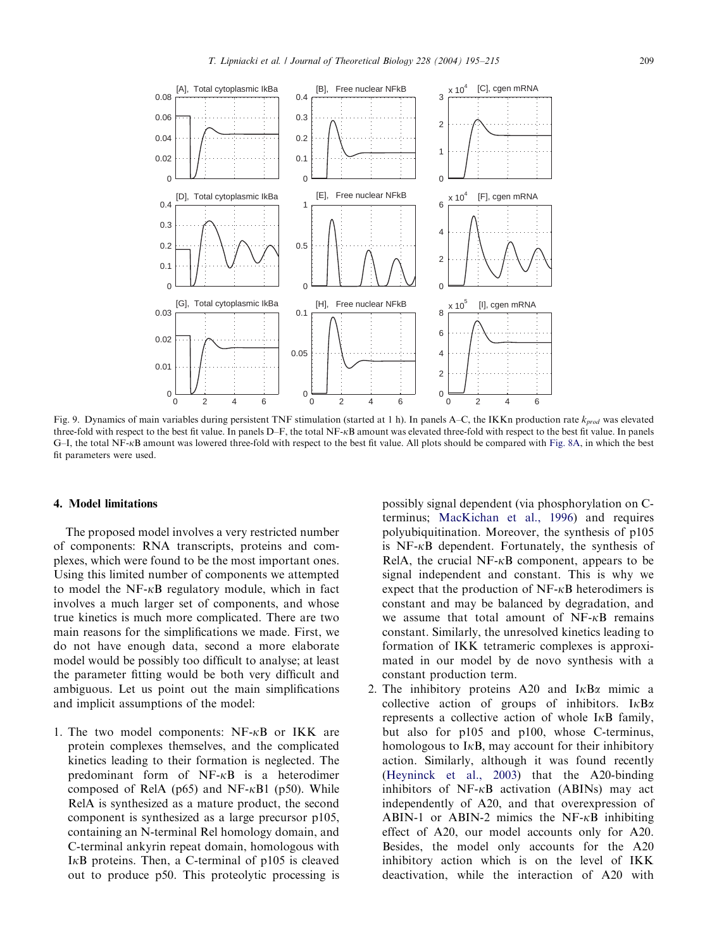<span id="page-14-0"></span>

Fig. 9. Dynamics of main variables during persistent TNF stimulation (started at 1 h). In panels A–C, the IKKn production rate  $k_{prod}$  was elevated three-fold with respect to the best fit value. In panels D–F, the total NF-kB amount was elevated three-fold with respect to the best fit value. In panels G–I, the total NF-kB amount was lowered three-fold with respect to the best fit value. All plots should be compared with [Fig. 8A](#page-13-0), in which the best fit parameters were used.

# 4. Model limitations

The proposed model involves a very restricted number of components: RNA transcripts, proteins and complexes, which were found to be the most important ones. Using this limited number of components we attempted to model the  $NF-\kappa B$  regulatory module, which in fact involves a much larger set of components, and whose true kinetics is much more complicated. There are two main reasons for the simplifications we made. First, we do not have enough data, second a more elaborate model would be possibly too difficult to analyse; at least the parameter fitting would be both very difficult and ambiguous. Let us point out the main simplifications and implicit assumptions of the model:

1. The two model components:  $NF-\kappa B$  or IKK are protein complexes themselves, and the complicated kinetics leading to their formation is neglected. The predominant form of  $NF- $\kappa$ B$  is a heterodimer composed of RelA ( $p65$ ) and NF- $\kappa$ B1 ( $p50$ ). While RelA is synthesized as a mature product, the second component is synthesized as a large precursor p105, containing an N-terminal Rel homology domain, and C-terminal ankyrin repeat domain, homologous with I $\kappa$ B proteins. Then, a C-terminal of p105 is cleaved out to produce p50. This proteolytic processing is possibly signal dependent (via phosphorylation on Cterminus; [MacKichan et al., 1996](#page-19-0)) and requires polyubiquitination. Moreover, the synthesis of p105 is  $NF-\kappa B$  dependent. Fortunately, the synthesis of RelA, the crucial NF- $\kappa$ B component, appears to be signal independent and constant. This is why we expect that the production of  $NF-\kappa B$  heterodimers is constant and may be balanced by degradation, and we assume that total amount of  $NF-\kappa B$  remains constant. Similarly, the unresolved kinetics leading to formation of IKK tetrameric complexes is approximated in our model by de novo synthesis with a constant production term.

2. The inhibitory proteins A20 and  $I \kappa B \alpha$  mimic a collective action of groups of inhibitors.  $I \kappa B \alpha$ represents a collective action of whole  $I<sub>K</sub>B$  family, but also for p105 and p100, whose C-terminus, homologous to  $I<sub>k</sub>B$ , may account for their inhibitory action. Similarly, although it was found recently [\(Heyninck et al., 2003](#page-19-0)) that the A20-binding inhibitors of  $NF-\kappa B$  activation (ABINs) may act independently of A20, and that overexpression of ABIN-1 or ABIN-2 mimics the NF- $\kappa$ B inhibiting effect of A20, our model accounts only for A20. Besides, the model only accounts for the A20 inhibitory action which is on the level of IKK deactivation, while the interaction of A20 with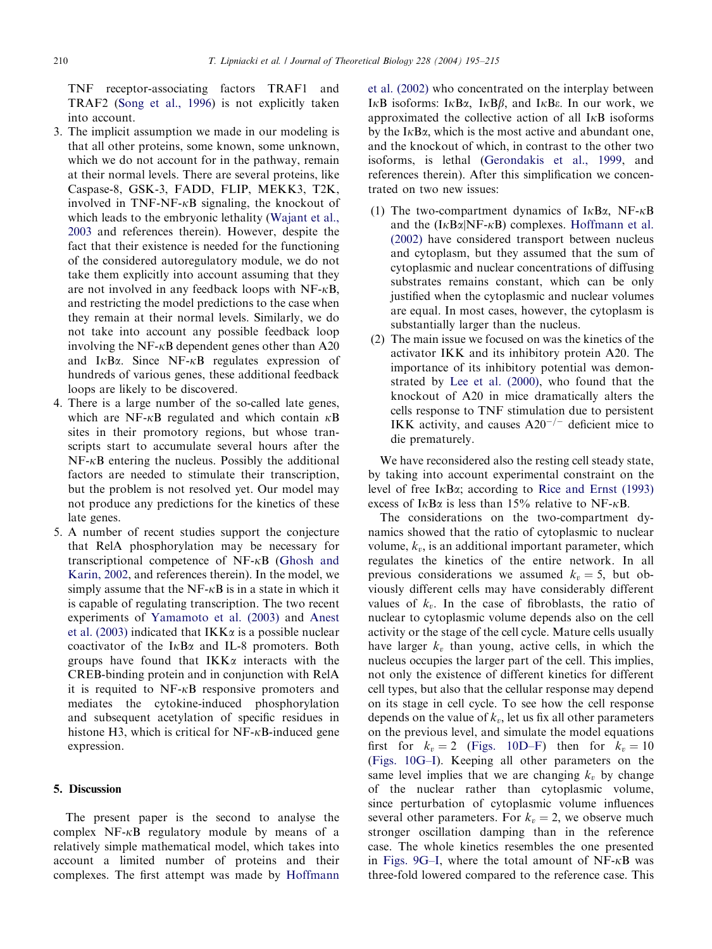TNF receptor-associating factors TRAF1 and TRAF2 [\(Song et al., 1996\)](#page-19-0) is not explicitly taken into account.

- 3. The implicit assumption we made in our modeling is that all other proteins, some known, some unknown, which we do not account for in the pathway, remain at their normal levels. There are several proteins, like Caspase-8, GSK-3, FADD, FLIP, MEKK3, T2K, involved in TNF-NF- $\kappa$ B signaling, the knockout of which leads to the embryonic lethality ([Wajant et al.,](#page-19-0) [2003](#page-19-0) and references therein). However, despite the fact that their existence is needed for the functioning of the considered autoregulatory module, we do not take them explicitly into account assuming that they are not involved in any feedback loops with  $NF-\kappa B$ , and restricting the model predictions to the case when they remain at their normal levels. Similarly, we do not take into account any possible feedback loop involving the NF- $\kappa$ B dependent genes other than A20 and  $I<sub>K</sub>B<sub>\alpha</sub>$ . Since NF- $<sub>K</sub>B$  regulates expression of</sub> hundreds of various genes, these additional feedback loops are likely to be discovered.
- 4. There is a large number of the so-called late genes, which are NF- $\kappa$ B regulated and which contain  $\kappa$ B sites in their promotory regions, but whose transcripts start to accumulate several hours after the  $NF-\kappa B$  entering the nucleus. Possibly the additional factors are needed to stimulate their transcription, but the problem is not resolved yet. Our model may not produce any predictions for the kinetics of these late genes.
- 5. A number of recent studies support the conjecture that RelA phosphorylation may be necessary for transcriptional competence of  $NF-\kappa B$  ([Ghosh and](#page-19-0) [Karin, 2002](#page-19-0), and references therein). In the model, we simply assume that the  $NF-\kappa B$  is in a state in which it is capable of regulating transcription. The two recent experiments of [Yamamoto et al. \(2003\)](#page-19-0) and [Anest](#page-19-0) [et al. \(2003\)](#page-19-0) indicated that  $IKK\alpha$  is a possible nuclear coactivator of the  $I\kappa B\alpha$  and IL-8 promoters. Both groups have found that  $IKK\alpha$  interacts with the CREB-binding protein and in conjunction with RelA it is requited to  $NF-\kappa B$  responsive promoters and mediates the cytokine-induced phosphorylation and subsequent acetylation of specific residues in histone H3, which is critical for  $NF-\kappa B$ -induced gene expression.

## 5. Discussion

The present paper is the second to analyse the complex  $NF-\kappa B$  regulatory module by means of a relatively simple mathematical model, which takes into account a limited number of proteins and their complexes. The first attempt was made by [Hoffmann](#page-19-0)

[et al. \(2002\)](#page-19-0) who concentrated on the interplay between I $\kappa$ B isoforms: I $\kappa$ B $\alpha$ , I $\kappa$ B $\beta$ , and I $\kappa$ B $\epsilon$ . In our work, we approximated the collective action of all  $I<sub>K</sub>B$  isoforms by the  $I \kappa B\alpha$ , which is the most active and abundant one, and the knockout of which, in contrast to the other two isoforms, is lethal [\(Gerondakis et al., 1999](#page-19-0), and references therein). After this simplification we concentrated on two new issues:

- (1) The two-compartment dynamics of  $I<sub>K</sub>B<sub>\alpha</sub>$ , NF- $<sub>K</sub>B$ </sub> and the  $(I_{K}B_{\alpha}|NF_{K}B)$  complexes. [Hoffmann et al.](#page-19-0) [\(2002\)](#page-19-0) have considered transport between nucleus and cytoplasm, but they assumed that the sum of cytoplasmic and nuclear concentrations of diffusing substrates remains constant, which can be only justified when the cytoplasmic and nuclear volumes are equal. In most cases, however, the cytoplasm is substantially larger than the nucleus.
- (2) The main issue we focused on was the kinetics of the activator IKK and its inhibitory protein A20. The importance of its inhibitory potential was demonstrated by [Lee et al. \(2000\),](#page-19-0) who found that the knockout of A20 in mice dramatically alters the cells response to TNF stimulation due to persistent IKK activity, and causes  $A20^{-/-}$  deficient mice to die prematurely.

We have reconsidered also the resting cell steady state, by taking into account experimental constraint on the level of free  $I \kappa B \alpha$ ; according to [Rice and Ernst \(1993\)](#page-19-0) excess of  $I \kappa B\alpha$  is less than 15% relative to NF- $\kappa B$ .

The considerations on the two-compartment dynamics showed that the ratio of cytoplasmic to nuclear volume,  $k<sub>v</sub>$ , is an additional important parameter, which regulates the kinetics of the entire network. In all previous considerations we assumed  $k_v = 5$ , but obviously different cells may have considerably different values of  $k_v$ . In the case of fibroblasts, the ratio of nuclear to cytoplasmic volume depends also on the cell activity or the stage of the cell cycle. Mature cells usually have larger  $k_v$  than young, active cells, in which the nucleus occupies the larger part of the cell. This implies, not only the existence of different kinetics for different cell types, but also that the cellular response may depend on its stage in cell cycle. To see how the cell response depends on the value of  $k_v$ , let us fix all other parameters on the previous level, and simulate the model equations first for  $k_v = 2$  ([Figs. 10D–F\)](#page-16-0) then for  $k_v = 10$ [\(Figs. 10G–I](#page-16-0)). Keeping all other parameters on the same level implies that we are changing  $k_v$  by change of the nuclear rather than cytoplasmic volume, since perturbation of cytoplasmic volume influences several other parameters. For  $k_v = 2$ , we observe much stronger oscillation damping than in the reference case. The whole kinetics resembles the one presented in [Figs. 9G–I,](#page-14-0) where the total amount of  $NF-\kappa B$  was three-fold lowered compared to the reference case. This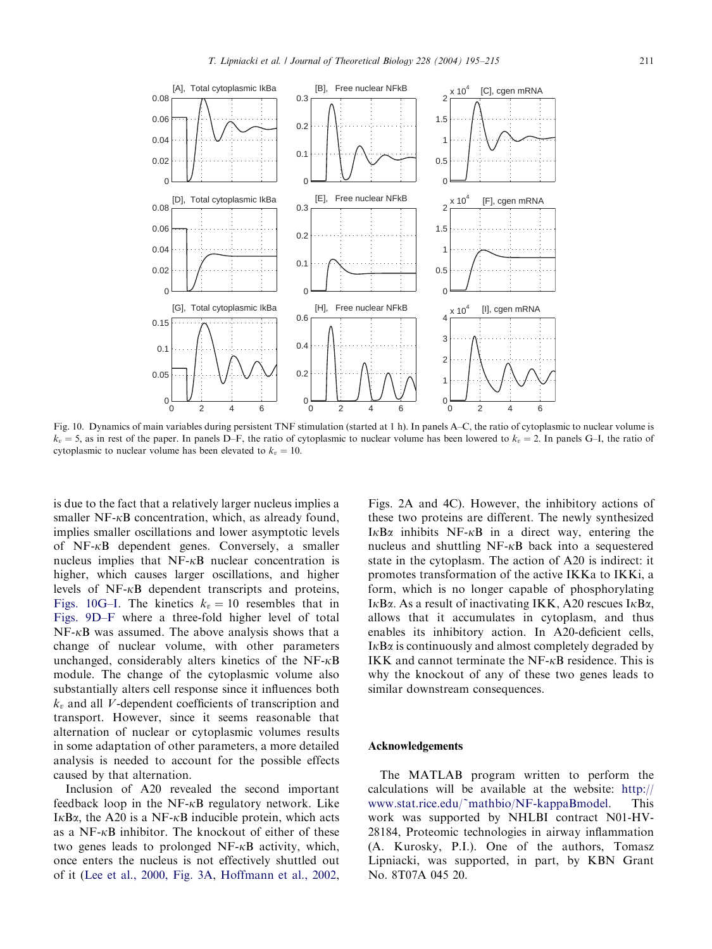<span id="page-16-0"></span>

Fig. 10. Dynamics of main variables during persistent TNF stimulation (started at 1 h). In panels A–C, the ratio of cytoplasmic to nuclear volume is  $k_v = 5$ , as in rest of the paper. In panels D–F, the ratio of cytoplasmic to nuclear volume has been lowered to  $k_v = 2$ . In panels G–I, the ratio of cytoplasmic to nuclear volume has been elevated to  $k_v = 10$ .

is due to the fact that a relatively larger nucleus implies a smaller NF- $\kappa$ B concentration, which, as already found, implies smaller oscillations and lower asymptotic levels of  $NF-\kappa B$  dependent genes. Conversely, a smaller nucleus implies that  $NF-\kappa B$  nuclear concentration is higher, which causes larger oscillations, and higher levels of  $NF-\kappa B$  dependent transcripts and proteins, Figs. 10G–I. The kinetics  $k_v = 10$  resembles that in [Figs. 9D–F](#page-14-0) where a three-fold higher level of total  $NF-\kappa B$  was assumed. The above analysis shows that a change of nuclear volume, with other parameters unchanged, considerably alters kinetics of the NF- $\kappa$ B module. The change of the cytoplasmic volume also substantially alters cell response since it influences both  $k<sub>v</sub>$  and all V-dependent coefficients of transcription and transport. However, since it seems reasonable that alternation of nuclear or cytoplasmic volumes results in some adaptation of other parameters, a more detailed analysis is needed to account for the possible effects caused by that alternation.

Inclusion of A20 revealed the second important feedback loop in the  $NF-\kappa B$  regulatory network. Like I $\kappa$ B $\alpha$ , the A20 is a NF- $\kappa$ B inducible protein, which acts as a NF- $\kappa$ B inhibitor. The knockout of either of these two genes leads to prolonged  $NF-\kappa B$  activity, which, once enters the nucleus is not effectively shuttled out of it ([Lee et al., 2000, Fig. 3A](#page-19-0), [Hoffmann et al., 2002](#page-19-0), Figs. 2A and 4C). However, the inhibitory actions of these two proteins are different. The newly synthesized I $\kappa$ B $\alpha$  inhibits NF- $\kappa$ B in a direct way, entering the nucleus and shuttling  $NF-\kappa B$  back into a sequestered state in the cytoplasm. The action of A20 is indirect: it promotes transformation of the active IKKa to IKKi, a form, which is no longer capable of phosphorylating I $\kappa$ B $\alpha$ . As a result of inactivating IKK, A20 rescues I $\kappa$ B $\alpha$ , allows that it accumulates in cytoplasm, and thus enables its inhibitory action. In A20-deficient cells,  $I \kappa B\alpha$  is continuously and almost completely degraded by IKK and cannot terminate the  $NF-\kappa B$  residence. This is why the knockout of any of these two genes leads to similar downstream consequences.

#### Acknowledgements

The MATLAB program written to perform the calculations will be available at the website: [http://](http://www.stat.rice.edu/~mathbio/NF-kappaBmodel) [www.stat.rice.edu/~mathbio/NF-kappaBmodel.](http://www.stat.rice.edu/~mathbio/NF-kappaBmodel) This work was supported by NHLBI contract N01-HV-28184, Proteomic technologies in airway inflammation (A. Kurosky, P.I.). One of the authors, Tomasz Lipniacki, was supported, in part, by KBN Grant No. 8T07A 045 20.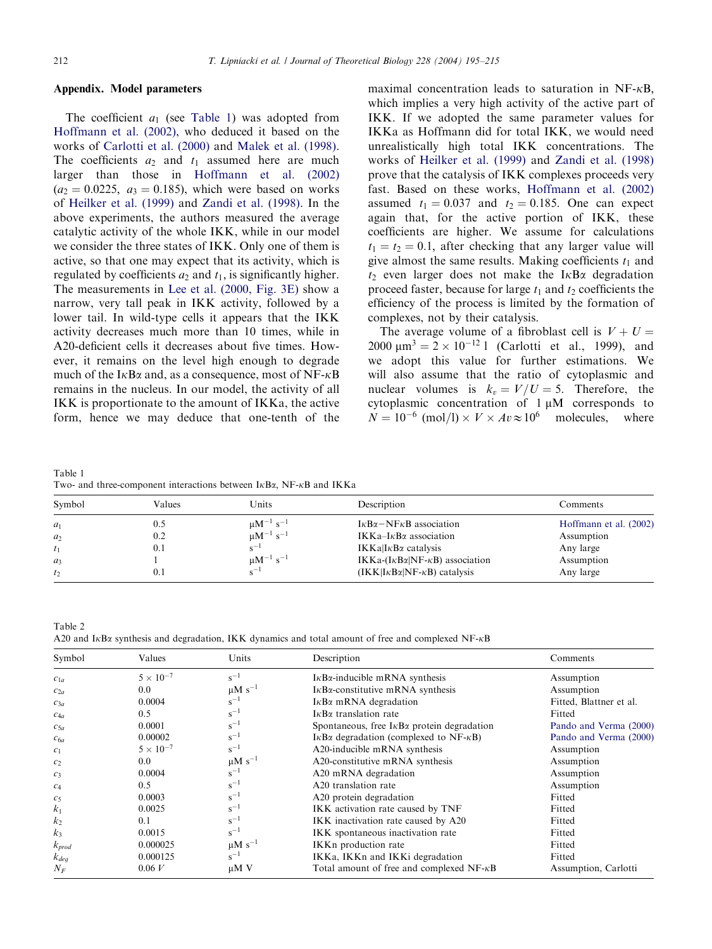## <span id="page-17-0"></span>Appendix. Model parameters

The coefficient  $a_1$  (see Table 1) was adopted from [Hoffmann et al. \(2002\)](#page-19-0), who deduced it based on the works of [Carlotti et al. \(2000\)](#page-19-0) and [Malek et al. \(1998\)](#page-19-0). The coefficients  $a_2$  and  $t_1$  assumed here are much larger than those in [Hoffmann et al. \(2002\)](#page-19-0)  $(a_2 = 0.0225, a_3 = 0.185)$ , which were based on works of [Heilker et al. \(1999\)](#page-19-0) and [Zandi et al. \(1998\).](#page-20-0) In the above experiments, the authors measured the average catalytic activity of the whole IKK, while in our model we consider the three states of IKK. Only one of them is active, so that one may expect that its activity, which is regulated by coefficients  $a_2$  and  $t_1$ , is significantly higher. The measurements in [Lee et al. \(2000, Fig. 3E\)](#page-19-0) show a narrow, very tall peak in IKK activity, followed by a lower tail. In wild-type cells it appears that the IKK activity decreases much more than 10 times, while in A20-deficient cells it decreases about five times. However, it remains on the level high enough to degrade much of the I $\kappa$ B $\alpha$  and, as a consequence, most of NF- $\kappa$ B remains in the nucleus. In our model, the activity of all IKK is proportionate to the amount of IKKa, the active form, hence we may deduce that one-tenth of the maximal concentration leads to saturation in  $NF-\kappa B$ , which implies a very high activity of the active part of IKK. If we adopted the same parameter values for IKKa as Hoffmann did for total IKK, we would need unrealistically high total IKK concentrations. The works of [Heilker et al. \(1999\)](#page-19-0) and [Zandi et al. \(1998\)](#page-20-0) prove that the catalysis of IKK complexes proceeds very fast. Based on these works, [Hoffmann et al. \(2002\)](#page-19-0) assumed  $t_1 = 0.037$  and  $t_2 = 0.185$ . One can expect again that, for the active portion of IKK, these coefficients are higher. We assume for calculations  $t_1 = t_2 = 0.1$ , after checking that any larger value will give almost the same results. Making coefficients  $t_1$  and  $t_2$  even larger does not make the I $\kappa$ B $\alpha$  degradation proceed faster, because for large  $t_1$  and  $t_2$  coefficients the efficiency of the process is limited by the formation of complexes, not by their catalysis.

The average volume of a fibroblast cell is  $V + U =$  $2000 \text{ }\mu\text{m}^3 = 2 \times 10^{-12} \text{ J}$  (Carlotti et al., 1999), and we adopt this value for further estimations. We will also assume that the ratio of cytoplasmic and nuclear volumes is  $k_v = V/U = 5$ . Therefore, the cytoplasmic concentration of  $1 \mu M$  corresponds to  $N = 10^{-6}$  (mol/l)  $\times V \times Av \approx 10^{6}$  molecules, where

Table 1 Two- and three-component interactions between  $I\kappa B\alpha$ , NF- $\kappa B$  and IKKa

| Symbol                                             | Values                   | Units                                                                                        | Description                                                                                                                                                                                                                                   | Comments                                                                     |
|----------------------------------------------------|--------------------------|----------------------------------------------------------------------------------------------|-----------------------------------------------------------------------------------------------------------------------------------------------------------------------------------------------------------------------------------------------|------------------------------------------------------------------------------|
| $a_1$<br>a <sub>2</sub><br>$t_1$<br>$a_3$<br>$t_2$ | 0.5<br>0.2<br>0.1<br>U.I | $\mu M^{-1}$ s <sup>-1</sup><br>$\mu M^{-1} s^{-1}$<br>$\mu$ M <sup>-1</sup> s <sup>-1</sup> | $I_{\kappa}B_{\alpha}$ – NF $_{\kappa}B$ association<br>IKKa-I $\kappa$ B $\alpha$ association<br>$IKKa I\kappa B\alpha$ catalysis<br>IKKa- $(I \kappa B \alpha   NF - \kappa B)$ association<br>$(IKK I\kappa B\alpha NF\kappa B)$ catalysis | Hoffmann et al. (2002)<br>Assumption<br>Any large<br>Assumption<br>Any large |

Table 2 A20 and I<sub>K</sub>B<sub> $\alpha$ </sub> synthesis and degradation, IKK dynamics and total amount of free and complexed NF- $\kappa$ B

| Symbol         | Values             | Units                   | Description                                              | Comments                |
|----------------|--------------------|-------------------------|----------------------------------------------------------|-------------------------|
| $c_{1a}$       | $5 \times 10^{-7}$ | $s^{-1}$                | $I\kappaB\alpha$ -inducible mRNA synthesis               | Assumption              |
| $c_{2a}$       | 0.0                | $\mu$ M s <sup>-1</sup> | $IKB\alpha$ -constitutive mRNA synthesis                 | Assumption              |
| $c_{3a}$       | 0.0004             | $s^{-1}$                | $IKB\alpha$ mRNA degradation                             | Fitted, Blattner et al. |
| $c_{4a}$       | 0.5                | $s^{-1}$                | $IKB\alpha$ translation rate                             | Fitted                  |
| $c_{5a}$       | 0.0001             | $s^{-1}$                | Spontaneous, free $I \kappa B\alpha$ protein degradation | Pando and Verma (2000)  |
| $c_{6a}$       | 0.00002            | $s^{-1}$                | I $\kappa$ Bα degradation (complexed to NF- $\kappa$ B)  | Pando and Verma (2000)  |
| c <sub>1</sub> | $5 \times 10^{-7}$ | $s^{-1}$                | A20-inducible mRNA synthesis                             | Assumption              |
| c <sub>2</sub> | 0.0                | $\mu$ M s <sup>-1</sup> | A20-constitutive mRNA synthesis                          | Assumption              |
| $c_3$          | 0.0004             | $s^{-1}$                | A20 mRNA degradation                                     | Assumption              |
| c <sub>4</sub> | 0.5                | $s^{-1}$                | A <sub>20</sub> translation rate                         | Assumption              |
| c <sub>5</sub> | 0.0003             | $s^{-1}$                | A20 protein degradation                                  | Fitted                  |
| k <sub>1</sub> | 0.0025             | $s^{-1}$                | IKK activation rate caused by TNF                        | Fitted                  |
| k <sub>2</sub> | 0.1                | $s^{-1}$                | IKK inactivation rate caused by A20                      | Fitted                  |
| $k_3$          | 0.0015             | $s^{-1}$                | IKK spontaneous inactivation rate                        | Fitted                  |
| $k_{prod}$     | 0.000025           | $\mu$ M s <sup>-1</sup> | IKKn production rate                                     | Fitted                  |
| $k_{deq}$      | 0.000125           | $s^{-1}$                | IKKa, IKKn and IKKi degradation                          | Fitted                  |
| $N_F$          | 0.06 V             | $\mu$ M V               | Total amount of free and complexed $NF-\kappa B$         | Assumption, Carlotti    |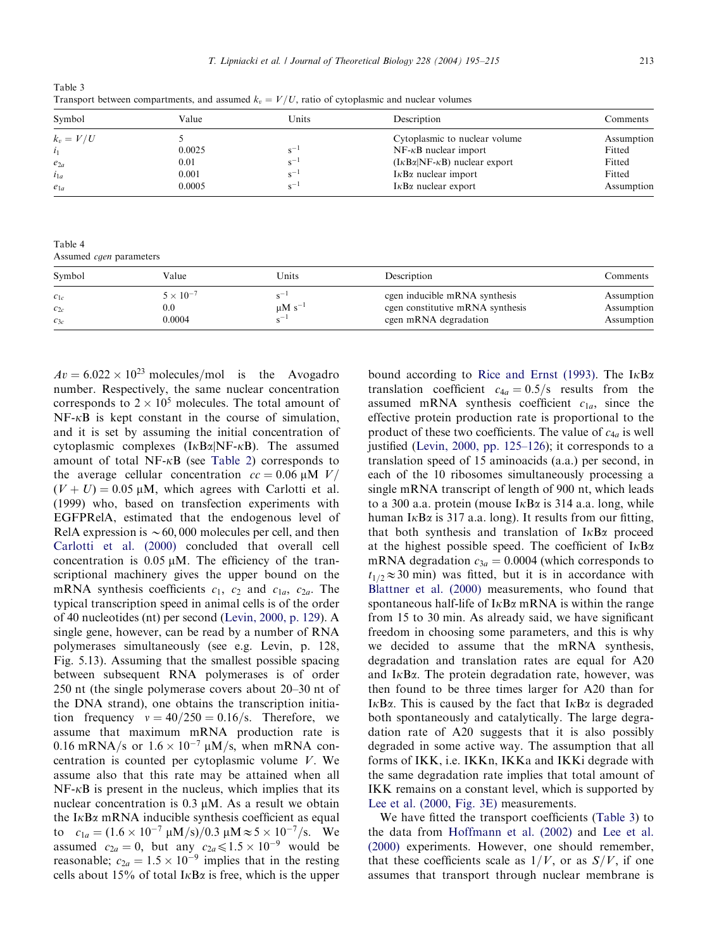$Av = 6.022 \times 10^{23}$  molecules/mol is the Avogadro number. Respectively, the same nuclear concentration corresponds to  $2 \times 10^5$  molecules. The total amount of  $NF-\kappa B$  is kept constant in the course of simulation, and it is set by assuming the initial concentration of cytoplasmic complexes  $(I_{K}B\alpha|NF_{K}B)$ . The assumed amount of total NF- $\kappa$ B (see [Table 2\)](#page-17-0) corresponds to the average cellular concentration  $cc = 0.06 \mu M$  V/  $(V + U) = 0.05 \mu M$ , which agrees with Carlotti et al. (1999) who, based on transfection experiments with EGFPRelA, estimated that the endogenous level of RelA expression is  $\sim 60,000$  molecules per cell, and then [Carlotti et al. \(2000\)](#page-19-0) concluded that overall cell concentration is  $0.05 \mu M$ . The efficiency of the transcriptional machinery gives the upper bound on the mRNA synthesis coefficients  $c_1$ ,  $c_2$  and  $c_{1a}$ ,  $c_{2a}$ . The typical transcription speed in animal cells is of the order of 40 nucleotides (nt) per second ([Levin, 2000, p. 129\)](#page-19-0). A single gene, however, can be read by a number of RNA polymerases simultaneously (see e.g. Levin, p. 128, Fig. 5.13). Assuming that the smallest possible spacing between subsequent RNA polymerases is of order 250 nt (the single polymerase covers about 20–30 nt of the DNA strand), one obtains the transcription initiation frequency  $v = 40/250 = 0.16/s$ . Therefore, we assume that maximum mRNA production rate is 0.16 mRNA/s or  $1.6 \times 10^{-7}$   $\mu$ M/s, when mRNA concentration is counted per cytoplasmic volume  $V$ . We assume also that this rate may be attained when all  $NF-\kappa B$  is present in the nucleus, which implies that its nuclear concentration is  $0.3 \mu M$ . As a result we obtain the  $I<sub>K</sub>B<sub>\alpha</sub>$  mRNA inducible synthesis coefficient as equal to  $c_{1a} = (1.6 \times 10^{-7} \text{ }\mu\text{M/s})/0.3 \text{ }\mu\text{M} \approx 5 \times 10^{-7} \text{/s}.$  We assumed  $c_{2a} = 0$ , but any  $c_{2a} \le 1.5 \times 10^{-9}$  would be reasonable;  $c_{2a} = 1.5 \times 10^{-9}$  implies that in the resting cells about 15% of total I $\kappa$ B $\alpha$  is free, which is the upper

bound according to [Rice and Ernst \(1993\).](#page-19-0) The  $I \kappa B \alpha$ translation coefficient  $c_{4a} = 0.5/s$  results from the assumed mRNA synthesis coefficient  $c_{1a}$ , since the effective protein production rate is proportional to the product of these two coefficients. The value of  $c_{4a}$  is well justified ([Levin, 2000, pp. 125–126](#page-19-0)); it corresponds to a translation speed of 15 aminoacids (a.a.) per second, in each of the 10 ribosomes simultaneously processing a single mRNA transcript of length of 900 nt, which leads to a 300 a.a. protein (mouse  $I \kappa B \alpha$  is 314 a.a. long, while human I $\kappa$ B $\alpha$  is 317 a.a. long). It results from our fitting, that both synthesis and translation of  $I \kappa B \alpha$  proceed at the highest possible speed. The coefficient of  $I \kappa B \alpha$ mRNA degradation  $c_{3a} = 0.0004$  (which corresponds to  $t_{1/2} \approx 30$  min) was fitted, but it is in accordance with [Blattner et al. \(2000\)](#page-19-0) measurements, who found that spontaneous half-life of  $I \kappa B\alpha$  mRNA is within the range from 15 to 30 min: As already said, we have significant freedom in choosing some parameters, and this is why we decided to assume that the mRNA synthesis, degradation and translation rates are equal for A20 and  $I<sub>K</sub>B<sub>\alpha</sub>$ . The protein degradation rate, however, was then found to be three times larger for A20 than for I $\kappa$ B $\alpha$ . This is caused by the fact that I $\kappa$ B $\alpha$  is degraded both spontaneously and catalytically. The large degradation rate of A20 suggests that it is also possibly degraded in some active way. The assumption that all forms of IKK, i.e. IKKn, IKKa and IKKi degrade with the same degradation rate implies that total amount of IKK remains on a constant level, which is supported by [Lee et al. \(2000, Fig. 3E\)](#page-19-0) measurements.

We have fitted the transport coefficients (Table 3) to the data from [Hoffmann et al. \(2002\)](#page-19-0) and [Lee et al.](#page-19-0) [\(2000\)](#page-19-0) experiments. However, one should remember, that these coefficients scale as  $1/V$ , or as  $S/V$ , if one assumes that transport through nuclear membrane is

<span id="page-18-0"></span>Table 3 Transport between compartments, and assumed  $k<sub>v</sub> = V/U$ , ratio of cytoplasmic and nuclear volumes

| Symbol                                          | Value                             | Units                                                | Description                                                                                                                                                        | Comments                                               |
|-------------------------------------------------|-----------------------------------|------------------------------------------------------|--------------------------------------------------------------------------------------------------------------------------------------------------------------------|--------------------------------------------------------|
| $k_v = V/U$<br>$e_{2a}$<br>$i_{1a}$<br>$e_{1a}$ | 0.0025<br>0.01<br>0.001<br>0.0005 | $_{\rm c}$ –<br>$_{\rm c}$ –<br>$S^{-1}$<br>$e^{-t}$ | Cytoplasmic to nuclear volume<br>$NF-\kappa B$ nuclear import<br>$(I_{K}B\alpha NF-KB)$ nuclear export<br>$IKB\alpha$ nuclear import<br>$IKB\alpha$ nuclear export | Assumption<br>Fitted<br>Fitted<br>Fitted<br>Assumption |

Table 4 Assumed cgen parameters

| Symbol                           | Value                                    | Units                            | Description                                                                                | Comments                               |
|----------------------------------|------------------------------------------|----------------------------------|--------------------------------------------------------------------------------------------|----------------------------------------|
| $c_{1c}$<br>$c_{2c}$<br>$c_{3c}$ | $5 \times 10^{-7}$<br>$_{0.0}$<br>0.0004 | $\mu$ M s <sup>-'</sup><br>$c -$ | cgen inducible mRNA synthesis<br>cgen constitutive mRNA synthesis<br>cgen mRNA degradation | Assumption<br>Assumption<br>Assumption |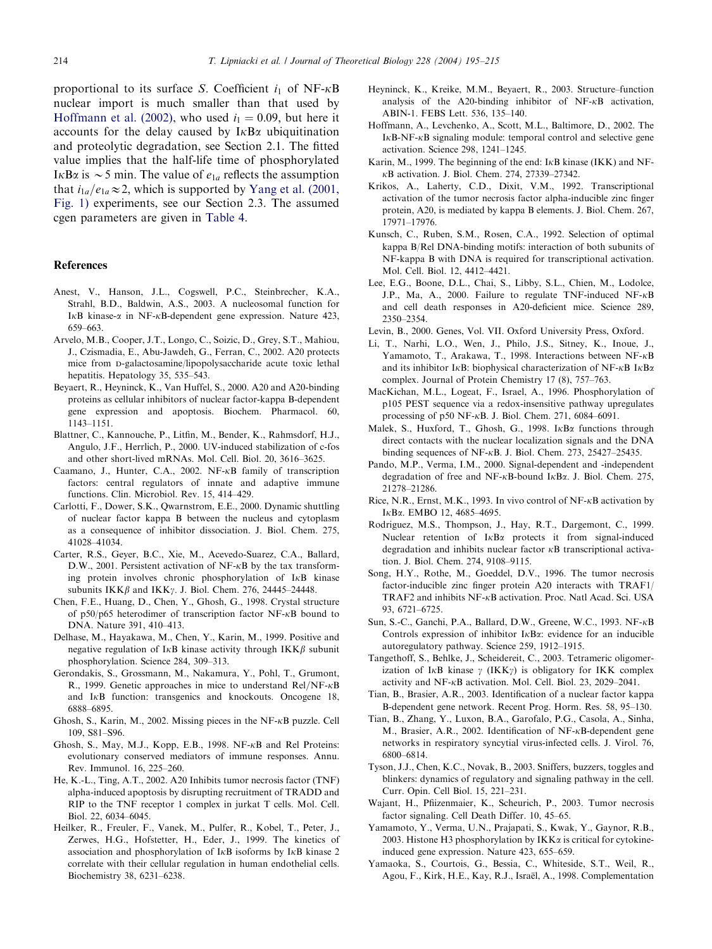<span id="page-19-0"></span>proportional to its surface S. Coefficient  $i_1$  of NF- $\kappa$ B nuclear import is much smaller than that used by Hoffmann et al. (2002), who used  $i_1 = 0.09$ , but here it accounts for the delay caused by  $I \kappa B \alpha$  ubiquitination and proteolytic degradation, see Section 2.1. The fitted value implies that the half-life time of phosphorylated I $\kappa$ B $\alpha$  is  $\sim$  5 min. The value of  $e_{1a}$  reflects the assumption that  $i_{1a}/e_{1a} \approx 2$ , which is supported by [Yang et al. \(2001,](#page-20-0) [Fig. 1\)](#page-20-0) experiments, see our Section 2.3. The assumed cgen parameters are given in [Table 4](#page-18-0).

#### References

- Anest, V., Hanson, J.L., Cogswell, P.C., Steinbrecher, K.A., Strahl, B.D., Baldwin, A.S., 2003. A nucleosomal function for I $\kappa$ B kinase- $\alpha$  in NF- $\kappa$ B-dependent gene expression. Nature 423, 659–663.
- Arvelo, M.B., Cooper, J.T., Longo, C., Soizic, D., Grey, S.T., Mahiou, J., Czismadia, E., Abu-Jawdeh, G., Ferran, C., 2002. A20 protects mice from D-galactosamine/lipopolysaccharide acute toxic lethal hepatitis. Hepatology 35, 535–543.
- Beyaert, R., Heyninck, K., Van Huffel, S., 2000. A20 and A20-binding proteins as cellular inhibitors of nuclear factor-kappa B-dependent gene expression and apoptosis. Biochem. Pharmacol. 60, 1143–1151.
- Blattner, C., Kannouche, P., Litfin, M., Bender, K., Rahmsdorf, H.J., Angulo, J.F., Herrlich, P., 2000. UV-induced stabilization of c-fos and other short-lived mRNAs. Mol. Cell. Biol. 20, 3616–3625.
- Caamano, J., Hunter, C.A., 2002. NF-kB family of transcription factors: central regulators of innate and adaptive immune functions. Clin. Microbiol. Rev. 15, 414–429.
- Carlotti, F., Dower, S.K., Qwarnstrom, E.E., 2000. Dynamic shuttling of nuclear factor kappa B between the nucleus and cytoplasm as a consequence of inhibitor dissociation. J. Biol. Chem. 275, 41028–41034.
- Carter, R.S., Geyer, B.C., Xie, M., Acevedo-Suarez, C.A., Ballard, D.W., 2001. Persistent activation of NF- $\kappa$ B by the tax transforming protein involves chronic phosphorylation of IkB kinase subunits  $IKK\beta$  and  $IKK\gamma$ . J. Biol. Chem. 276, 24445–24448.
- Chen, F.E., Huang, D., Chen, Y., Ghosh, G., 1998. Crystal structure of p50/p65 heterodimer of transcription factor NF- $\kappa$ B bound to DNA. Nature 391, 410–413.
- Delhase, M., Hayakawa, M., Chen, Y., Karin, M., 1999. Positive and negative regulation of I<sub>K</sub>B kinase activity through  $IKK\beta$  subunit phosphorylation. Science 284, 309–313.
- Gerondakis, S., Grossmann, M., Nakamura, Y., Pohl, T., Grumont, R., 1999. Genetic approaches in mice to understand Rel/NF- $\kappa$ B and IkB function: transgenics and knockouts. Oncogene 18, 6888–6895.
- Ghosh, S., Karin, M., 2002. Missing pieces in the NF-kB puzzle. Cell 109, S81–S96.
- Ghosh, S., May, M.J., Kopp, E.B., 1998. NF-kB and Rel Proteins: evolutionary conserved mediators of immune responses. Annu. Rev. Immunol. 16, 225–260.
- He, K.-L., Ting, A.T., 2002. A20 Inhibits tumor necrosis factor (TNF) alpha-induced apoptosis by disrupting recruitment of TRADD and RIP to the TNF receptor 1 complex in jurkat T cells. Mol. Cell. Biol. 22, 6034–6045.
- Heilker, R., Freuler, F., Vanek, M., Pulfer, R., Kobel, T., Peter, J., Zerwes, H.G., Hofstetter, H., Eder, J., 1999. The kinetics of association and phosphorylation of  $I \kappa B$  isoforms by  $I \kappa B$  kinase 2 correlate with their cellular regulation in human endothelial cells. Biochemistry 38, 6231–6238.
- Heyninck, K., Kreike, M.M., Beyaert, R., 2003. Structure–function analysis of the A20-binding inhibitor of  $NF- $\kappa$ B$  activation, ABIN-1. FEBS Lett. 536, 135–140.
- Hoffmann, A., Levchenko, A., Scott, M.L., Baltimore, D., 2002. The  $I \kappa B-NF-\kappa B$  signaling module: temporal control and selective gene activation. Science 298, 1241–1245.
- Karin, M., 1999. The beginning of the end:  $I \kappa B$  kinase (IKK) and NF- $\kappa$ B activation. J. Biol. Chem. 274, 27339-27342.
- Krikos, A., Laherty, C.D., Dixit, V.M., 1992. Transcriptional activation of the tumor necrosis factor alpha-inducible zinc finger protein, A20, is mediated by kappa B elements. J. Biol. Chem. 267, 17971–17976.
- Kunsch, C., Ruben, S.M., Rosen, C.A., 1992. Selection of optimal kappa B/Rel DNA-binding motifs: interaction of both subunits of NF-kappa B with DNA is required for transcriptional activation. Mol. Cell. Biol. 12, 4412–4421.
- Lee, E.G., Boone, D.L., Chai, S., Libby, S.L., Chien, M., Lodolce, J.P., Ma, A., 2000. Failure to regulate TNF-induced  $NF-\kappa B$ and cell death responses in A20-deficient mice. Science 289, 2350–2354.
- Levin, B., 2000. Genes, Vol. VII. Oxford University Press, Oxford.
- Li, T., Narhi, L.O., Wen, J., Philo, J.S., Sitney, K., Inoue, J., Yamamoto, T., Arakawa, T., 1998. Interactions between NF-kB and its inhibitor I $\kappa$ B: biophysical characterization of NF- $\kappa$ B I $\kappa$ B $\alpha$ complex. Journal of Protein Chemistry 17 (8), 757–763.
- MacKichan, M.L., Logeat, F., Israel, A., 1996. Phosphorylation of p105 PEST sequence via a redox-insensitive pathway upregulates processing of p50 NF- $\kappa$ B. J. Biol. Chem. 271, 6084–6091.
- Malek, S., Huxford, T., Ghosh, G., 1998. IkBa functions through direct contacts with the nuclear localization signals and the DNA binding sequences of NF- $\kappa$ B. J. Biol. Chem. 273, 25427–25435.
- Pando, M.P., Verma, I.M., 2000. Signal-dependent and -independent degradation of free and NF- $\kappa$ B-bound I $\kappa$ B $\alpha$ . J. Biol. Chem. 275, 21278–21286.
- Rice, N.R., Ernst, M.K., 1993. In vivo control of NF- $\kappa$ B activation by IkBa: EMBO 12, 4685–4695.
- Rodriguez, M.S., Thompson, J., Hay, R.T., Dargemont, C., 1999. Nuclear retention of  $I \kappa B\alpha$  protects it from signal-induced degradation and inhibits nuclear factor  $\kappa$ B transcriptional activation. J. Biol. Chem. 274, 9108–9115.
- Song, H.Y., Rothe, M., Goeddel, D.V., 1996. The tumor necrosis factor-inducible zinc finger protein A20 interacts with TRAF1/ TRAF2 and inhibits NF-kB activation. Proc. Natl Acad. Sci. USA 93, 6721–6725.
- Sun, S.-C., Ganchi, P.A., Ballard, D.W., Greene, W.C., 1993. NF-kB Controls expression of inhibitor  $I \kappa B \alpha$ : evidence for an inducible autoregulatory pathway. Science 259, 1912–1915.
- Tangethoff, S., Behlke, J., Scheidereit, C., 2003. Tetrameric oligomerization of I<sub>K</sub>B kinase  $\gamma$  (IKK $\gamma$ ) is obligatory for IKK complex activity and NF-kB activation. Mol. Cell. Biol. 23, 2029–2041.
- Tian, B., Brasier, A.R., 2003. Identification of a nuclear factor kappa B-dependent gene network. Recent Prog. Horm. Res. 58, 95–130.
- Tian, B., Zhang, Y., Luxon, B.A., Garofalo, P.G., Casola, A., Sinha, M., Brasier, A.R., 2002. Identification of NF-kB-dependent gene networks in respiratory syncytial virus-infected cells. J. Virol. 76, 6800–6814.
- Tyson, J.J., Chen, K.C., Novak, B., 2003. Sniffers, buzzers, toggles and blinkers: dynamics of regulatory and signaling pathway in the cell. Curr. Opin. Cell Biol. 15, 221–231.
- Wajant, H., Pfiizenmaier, K., Scheurich, P., 2003. Tumor necrosis factor signaling. Cell Death Differ. 10, 45–65.
- Yamamoto, Y., Verma, U.N., Prajapati, S., Kwak, Y., Gaynor, R.B., 2003. Histone H3 phosphorylation by  $IKK\alpha$  is critical for cytokineinduced gene expression. Nature 423, 655–659.
- Yamaoka, S., Courtois, G., Bessia, C., Whiteside, S.T., Weil, R., Agou, F., Kirk, H.E., Kay, R.J., Israel, A., 1998. Complementation .